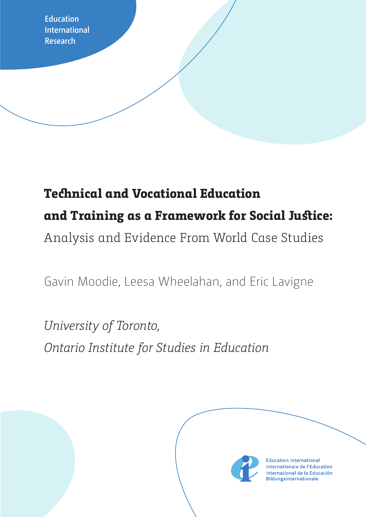**Education International Research**

# **Technical and Vocational Education and Training as a Framework for Social Justice:** Analysis and Evidence From World Case Studies

Gavin Moodie, Leesa Wheelahan, and Eric Lavigne

*University of Toronto, Ontario Institute for Studies in Education*



**Education International** Internationale de l'Education Internacional de la Educación **Bildungsinternationale**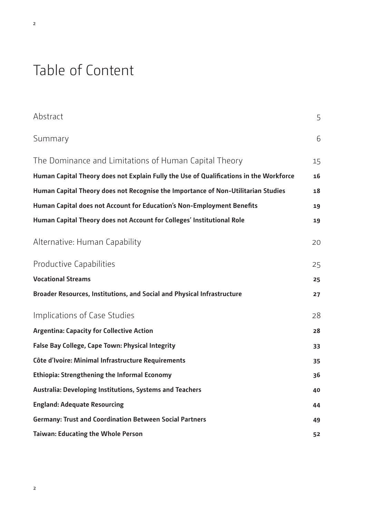# Table of Content

| Abstract                                                                               | 5  |
|----------------------------------------------------------------------------------------|----|
| Summary                                                                                | 6  |
| The Dominance and Limitations of Human Capital Theory                                  | 15 |
| Human Capital Theory does not Explain Fully the Use of Qualifications in the Workforce | 16 |
| Human Capital Theory does not Recognise the Importance of Non-Utilitarian Studies      | 18 |
| Human Capital does not Account for Education's Non-Employment Benefits                 | 19 |
| Human Capital Theory does not Account for Colleges' Institutional Role                 | 19 |
| Alternative: Human Capability                                                          | 20 |
| <b>Productive Capabilities</b>                                                         | 25 |
| <b>Vocational Streams</b>                                                              | 25 |
| Broader Resources, Institutions, and Social and Physical Infrastructure                | 27 |
| Implications of Case Studies                                                           | 28 |
| <b>Argentina: Capacity for Collective Action</b>                                       | 28 |
| <b>False Bay College, Cape Town: Physical Integrity</b>                                | 33 |
| Côte d'Ivoire: Minimal Infrastructure Requirements                                     | 35 |
| <b>Ethiopia: Strengthening the Informal Economy</b>                                    | 36 |
| <b>Australia: Developing Institutions, Systems and Teachers</b>                        | 40 |
| <b>England: Adequate Resourcing</b>                                                    | 44 |
| <b>Germany: Trust and Coordination Between Social Partners</b>                         | 49 |
| <b>Taiwan: Educating the Whole Person</b>                                              | 52 |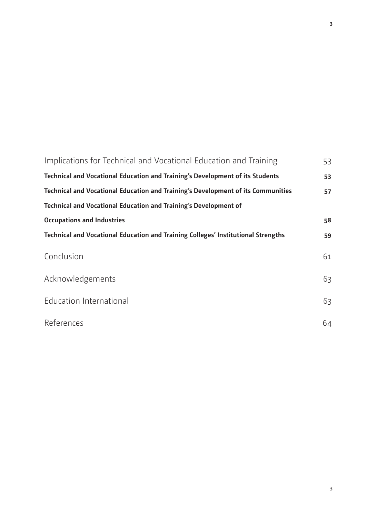| Implications for Technical and Vocational Education and Training                  | 53 |
|-----------------------------------------------------------------------------------|----|
| Technical and Vocational Education and Training's Development of its Students     | 53 |
| Technical and Vocational Education and Training's Development of its Communities  | 57 |
| <b>Technical and Vocational Education and Training's Development of</b>           |    |
| <b>Occupations and Industries</b>                                                 | 58 |
| Technical and Vocational Education and Training Colleges' Institutional Strengths | 59 |
| Conclusion                                                                        | 61 |
| Acknowledgements                                                                  | 63 |
| <b>Education International</b>                                                    | 63 |
| References                                                                        | 64 |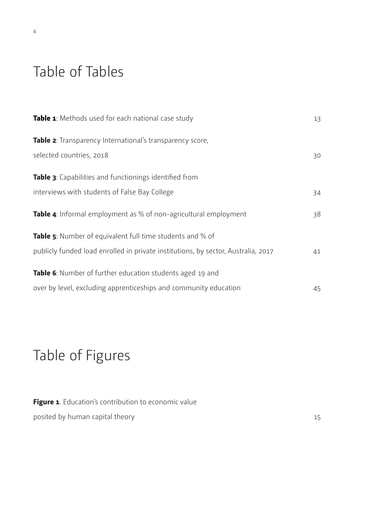# Table of Tables

| Table 1: Methods used for each national case study                                | 13 |
|-----------------------------------------------------------------------------------|----|
| Table 2: Transparency International's transparency score,                         |    |
| selected countries, 2018                                                          | 30 |
| Table 3: Capabilities and functionings identified from                            |    |
| interviews with students of False Bay College                                     | 34 |
| <b>Table 4:</b> Informal employment as % of non-agricultural employment           | 38 |
| Table 5: Number of equivalent full time students and % of                         |    |
| publicly funded load enrolled in private institutions, by sector, Australia, 2017 | 41 |
| Table 6: Number of further education students aged 19 and                         |    |
| over by level, excluding apprenticeships and community education                  | 45 |

# Table of Figures

| Figure 1. Education's contribution to economic value |    |
|------------------------------------------------------|----|
| posited by human capital theory                      | 15 |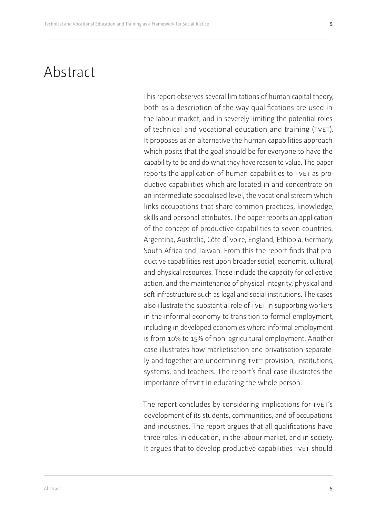## <span id="page-4-0"></span>Abstract

This report observes several limitations of human capital theory, both as a description of the way qualifications are used in the labour market, and in severely limiting the potential roles of technical and vocational education and training (tvet). It proposes as an alternative the human capabilities approach which posits that the goal should be for everyone to have the capability to be and do what they have reason to value. The paper reports the application of human capabilities to TVET as productive capabilities which are located in and concentrate on an intermediate specialised level, the vocational stream which links occupations that share common practices, knowledge, skills and personal attributes. The paper reports an application of the concept of productive capabilities to seven countries: Argentina, Australia, Côte d'Ivoire, England, Ethiopia, Germany, South Africa and Taiwan. From this the report finds that productive capabilities rest upon broader social, economic, cultural, and physical resources. These include the capacity for collective action, and the maintenance of physical integrity, physical and soft infrastructure such as legal and social institutions. The cases also illustrate the substantial role of TVET in supporting workers in the informal economy to transition to formal employment, including in developed economies where informal employment is from 10% to 15% of non-agricultural employment. Another case illustrates how marketisation and privatisation separately and together are undermining tvet provision, institutions, systems, and teachers. The report's final case illustrates the importance of tvet in educating the whole person.

The report concludes by considering implications for TVET's development of its students, communities, and of occupations and industries. The report argues that all qualifications have three roles: in education, in the labour market, and in society. It argues that to develop productive capabilities TVET should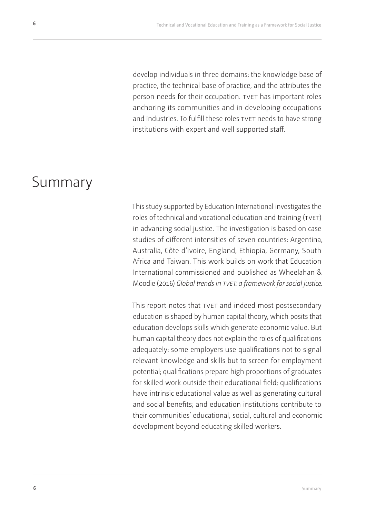<span id="page-5-0"></span>develop individuals in three domains: the knowledge base of practice, the technical base of practice, and the attributes the person needs for their occupation. TVET has important roles anchoring its communities and in developing occupations and industries. To fulfill these roles TVET needs to have strong institutions with expert and well supported staff.

## Summary

This study supported by Education International investigates the roles of technical and vocational education and training (TVET) in advancing social justice. The investigation is based on case studies of different intensities of seven countries: Argentina, Australia, Côte d'Ivoire, England, Ethiopia, Germany, South Africa and Taiwan. This work builds on work that Education International commissioned and published as Wheelahan & Moodie (2016) *Global trends in tvet: a framework for social justice.*

This report notes that TVET and indeed most postsecondary education is shaped by human capital theory, which posits that education develops skills which generate economic value. But human capital theory does not explain the roles of qualifications adequately: some employers use qualifications not to signal relevant knowledge and skills but to screen for employment potential; qualifications prepare high proportions of graduates for skilled work outside their educational field; qualifications have intrinsic educational value as well as generating cultural and social benefits; and education institutions contribute to their communities' educational, social, cultural and economic development beyond educating skilled workers.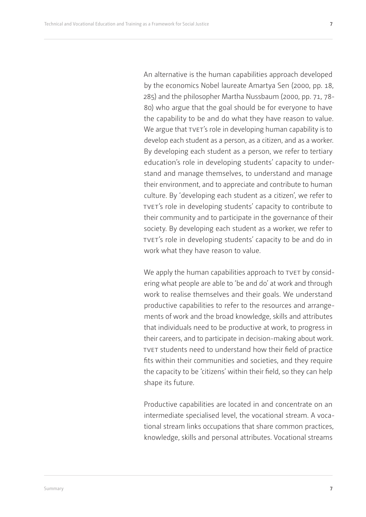An alternative is the human capabilities approach developed by the economics Nobel laureate Amartya Sen (2000, pp. 18, 285) and the philosopher Martha Nussbaum (2000, pp. 71, 78- 80) who argue that the goal should be for everyone to have the capability to be and do what they have reason to value. We argue that TVET's role in developing human capability is to develop each student as a person, as a citizen, and as a worker. By developing each student as a person, we refer to tertiary education's role in developing students' capacity to understand and manage themselves, to understand and manage their environment, and to appreciate and contribute to human culture. By 'developing each student as a citizen', we refer to tvet's role in developing students' capacity to contribute to their community and to participate in the governance of their society. By developing each student as a worker, we refer to TVET's role in developing students' capacity to be and do in work what they have reason to value.

We apply the human capabilities approach to TVET by considering what people are able to 'be and do' at work and through work to realise themselves and their goals. We understand productive capabilities to refer to the resources and arrangements of work and the broad knowledge, skills and attributes that individuals need to be productive at work, to progress in their careers, and to participate in decision-making about work. tvet students need to understand how their field of practice fits within their communities and societies, and they require the capacity to be 'citizens' within their field, so they can help shape its future.

Productive capabilities are located in and concentrate on an intermediate specialised level, the vocational stream. A vocational stream links occupations that share common practices, knowledge, skills and personal attributes. Vocational streams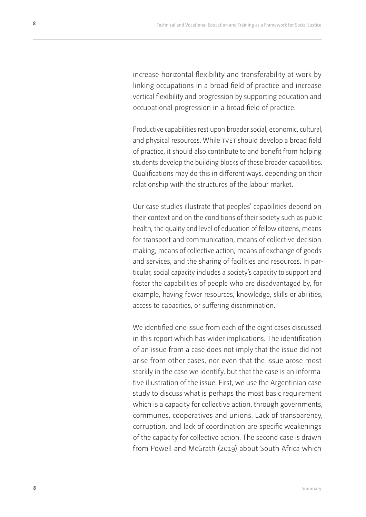increase horizontal flexibility and transferability at work by linking occupations in a broad field of practice and increase vertical flexibility and progression by supporting education and occupational progression in a broad field of practice.

Productive capabilities rest upon broader social, economic, cultural, and physical resources. While TVET should develop a broad field of practice, it should also contribute to and benefit from helping students develop the building blocks of these broader capabilities. Qualifications may do this in different ways, depending on their relationship with the structures of the labour market.

Our case studies illustrate that peoples' capabilities depend on their context and on the conditions of their society such as public health, the quality and level of education of fellow citizens, means for transport and communication, means of collective decision making, means of collective action, means of exchange of goods and services, and the sharing of facilities and resources. In particular, social capacity includes a society's capacity to support and foster the capabilities of people who are disadvantaged by, for example, having fewer resources, knowledge, skills or abilities, access to capacities, or suffering discrimination.

We identified one issue from each of the eight cases discussed in this report which has wider implications. The identification of an issue from a case does not imply that the issue did not arise from other cases, nor even that the issue arose most starkly in the case we identify, but that the case is an informative illustration of the issue. First, we use the Argentinian case study to discuss what is perhaps the most basic requirement which is a capacity for collective action, through governments, communes, cooperatives and unions. Lack of transparency, corruption, and lack of coordination are specific weakenings of the capacity for collective action. The second case is drawn from Powell and McGrath (2019) about South Africa which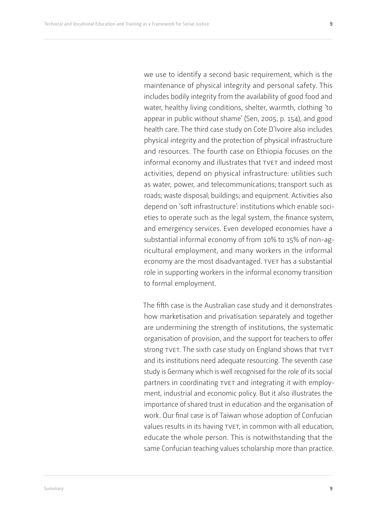we use to identify a second basic requirement, which is the maintenance of physical integrity and personal safety. This includes bodily integrity from the availability of good food and water, healthy living conditions, shelter, warmth, clothing 'to appear in public without shame' (Sen, 2005, p. 154), and good health care. The third case study on Cote D'Ivoire also includes physical integrity and the protection of physical infrastructure and resources. The fourth case on Ethiopia focuses on the informal economy and illustrates that TVET and indeed most activities, depend on physical infrastructure: utilities such as water, power, and telecommunications; transport such as roads; waste disposal; buildings; and equipment. Activities also depend on 'soft infrastructure': institutions which enable societies to operate such as the legal system, the finance system, and emergency services. Even developed economies have a substantial informal economy of from 10% to 15% of non-agricultural employment, and many workers in the informal economy are the most disadvantaged. TVET has a substantial role in supporting workers in the informal economy transition to formal employment.

The fifth case is the Australian case study and it demonstrates how marketisation and privatisation separately and together are undermining the strength of institutions, the systematic organisation of provision, and the support for teachers to offer strong TVET. The sixth case study on England shows that TVET and its institutions need adequate resourcing. The seventh case study is Germany which is well recognised for the role of its social partners in coordinating TVET and integrating it with employment, industrial and economic policy. But it also illustrates the importance of shared trust in education and the organisation of work. Our final case is of Taiwan whose adoption of Confucian values results in its having TVET, in common with all education, educate the whole person. This is notwithstanding that the same Confucian teaching values scholarship more than practice.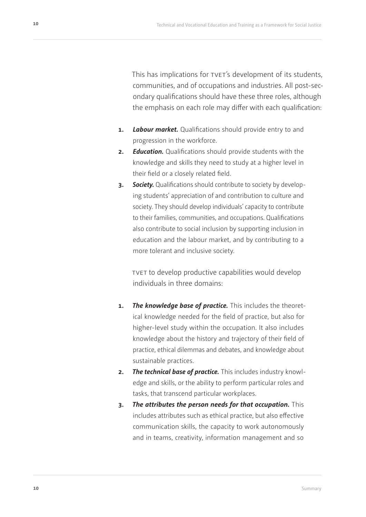This has implications for tyet's development of its students, communities, and of occupations and industries. All post-secondary qualifications should have these three roles, although the emphasis on each role may differ with each qualification:

- **1.** *Labour market.* Qualifications should provide entry to and progression in the workforce.
- **2.** *Education.* Qualifications should provide students with the knowledge and skills they need to study at a higher level in their field or a closely related field.
- **3.** *Society.* Qualifications should contribute to society by developing students' appreciation of and contribution to culture and society. They should develop individuals' capacity to contribute to their families, communities, and occupations. Qualifications also contribute to social inclusion by supporting inclusion in education and the labour market, and by contributing to a more tolerant and inclusive society.

tvet to develop productive capabilities would develop individuals in three domains:

- **1.** *The knowledge base of practice.* This includes the theoretical knowledge needed for the field of practice, but also for higher-level study within the occupation. It also includes knowledge about the history and trajectory of their field of practice, ethical dilemmas and debates, and knowledge about sustainable practices.
- **2.** *The technical base of practice.* This includes industry knowledge and skills, or the ability to perform particular roles and tasks, that transcend particular workplaces.
- **3.** *The attributes the person needs for that occupation.* This includes attributes such as ethical practice, but also effective communication skills, the capacity to work autonomously and in teams, creativity, information management and so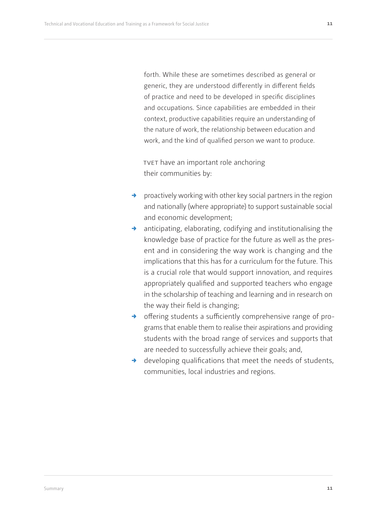forth. While these are sometimes described as general or generic, they are understood differently in different fields of practice and need to be developed in specific disciplines and occupations. Since capabilities are embedded in their context, productive capabilities require an understanding of the nature of work, the relationship between education and work, and the kind of qualified person we want to produce.

tvet have an important role anchoring their communities by:

- $\rightarrow$  proactively working with other key social partners in the region and nationally (where appropriate) to support sustainable social and economic development;
- anticipating, elaborating, codifying and institutionalising the knowledge base of practice for the future as well as the present and in considering the way work is changing and the implications that this has for a curriculum for the future. This is a crucial role that would support innovation, and requires appropriately qualified and supported teachers who engage in the scholarship of teaching and learning and in research on the way their field is changing;
- $\rightarrow$  offering students a sufficiently comprehensive range of programs that enable them to realise their aspirations and providing students with the broad range of services and supports that are needed to successfully achieve their goals; and,
- $\rightarrow$  developing qualifications that meet the needs of students, communities, local industries and regions.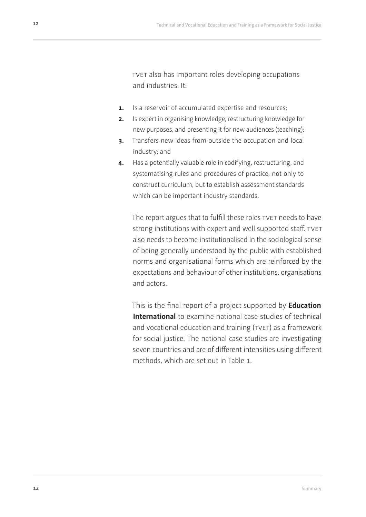tvet also has important roles developing occupations and industries. It:

- **1.** Is a reservoir of accumulated expertise and resources;
- **2.** Is expert in organising knowledge, restructuring knowledge for new purposes, and presenting it for new audiences (teaching);
- **3.** Transfers new ideas from outside the occupation and local industry; and
- **4.** Has a potentially valuable role in codifying, restructuring, and systematising rules and procedures of practice, not only to construct curriculum, but to establish assessment standards which can be important industry standards.

The report argues that to fulfill these roles TVET needs to have strong institutions with expert and well supported staff. TVET also needs to become institutionalised in the sociological sense of being generally understood by the public with established norms and organisational forms which are reinforced by the expectations and behaviour of other institutions, organisations and actors.

This is the final report of a project supported by **Education International** to examine national case studies of technical and vocational education and training (TVET) as a framework for social justice. The national case studies are investigating seven countries and are of different intensities using different methods, which are set out in Table 1.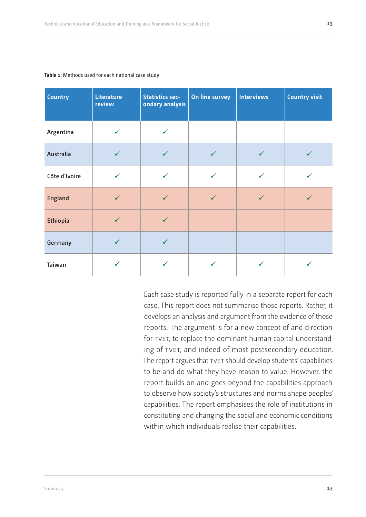| <b>Country</b>   | Literature<br>review | <b>Statistics sec-</b><br>ondary analysis | On line survey | <b>Interviews</b> | <b>Country visit</b> |
|------------------|----------------------|-------------------------------------------|----------------|-------------------|----------------------|
| Argentina        | ✓                    | ✓                                         |                |                   |                      |
| <b>Australia</b> | $\checkmark$         | $\checkmark$                              |                | $\checkmark$      | $\checkmark$         |
| Côte d'Ivoire    | $\checkmark$         | $\checkmark$                              |                | $\checkmark$      |                      |
| <b>England</b>   | $\checkmark$         | $\checkmark$                              |                | $\checkmark$      | ✓                    |
| <b>Ethiopia</b>  | $\checkmark$         | $\checkmark$                              |                |                   |                      |
| Germany          | $\checkmark$         | ✓                                         |                |                   |                      |
| Taiwan           | ✓                    |                                           |                |                   |                      |

#### <span id="page-12-0"></span>**Table 1:** Methods used for each national case study

Each case study is reported fully in a separate report for each case. This report does not summarise those reports. Rather, it develops an analysis and argument from the evidence of those reports. The argument is for a new concept of and direction for TVET, to replace the dominant human capital understanding of tvet, and indeed of most postsecondary education. The report argues that TVET should develop students' capabilities to be and do what they have reason to value. However, the report builds on and goes beyond the capabilities approach to observe how society's structures and norms shape peoples' capabilities. The report emphasises the role of institutions in constituting and changing the social and economic conditions within which individuals realise their capabilities.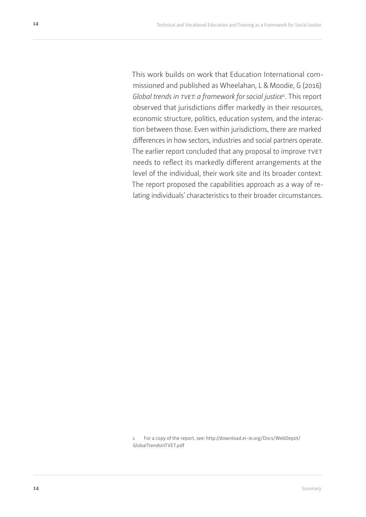This work builds on work that Education International commissioned and published as Wheelahan, L & Moodie, G (2016) Global trends in TVET: a framework for social justice<sup>1</sup>. This report observed that jurisdictions differ markedly in their resources, economic structure, politics, education system, and the interaction between those. Even within jurisdictions, there are marked differences in how sectors, industries and social partners operate. The earlier report concluded that any proposal to improve TVET needs to reflect its markedly different arrangements at the level of the individual, their work site and its broader context. The report proposed the capabilities approach as a way of relating individuals' characteristics to their broader circumstances.

1 For a copy of the report, see: http://download.ei-ie.org/Docs/WebDepot/ GlobalTrendsinTVET.pdf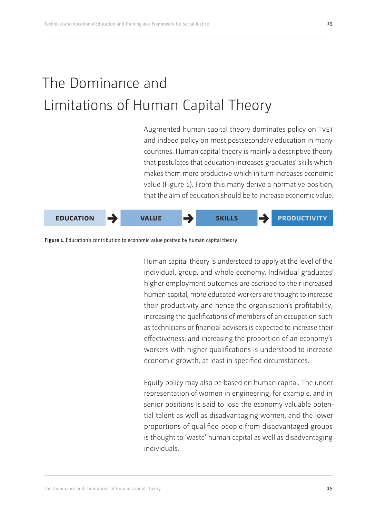# <span id="page-14-0"></span>The Dominance and Limitations of Human Capital Theory

Augmented human capital theory dominates policy on TVET and indeed policy on most postsecondary education in many countries. Human capital theory is mainly a descriptive theory that postulates that education increases graduates' skills which makes them more productive which in turn increases economic value (Figure 1). From this many derive a normative position, that the aim of education should be to increase economic value.



Figure 1. Education's contribution to economic value posited by human capital theory

Human capital theory is understood to apply at the level of the individual, group, and whole economy. Individual graduates' higher employment outcomes are ascribed to their increased human capital; more educated workers are thought to increase their productivity and hence the organisation's profitability; increasing the qualifications of members of an occupation such as technicians or financial advisers is expected to increase their effectiveness; and increasing the proportion of an economy's workers with higher qualifications is understood to increase economic growth, at least in specified circumstances.

Equity policy may also be based on human capital. The under representation of women in engineering, for example, and in senior positions is said to lose the economy valuable potential talent as well as disadvantaging women; and the lower proportions of qualified people from disadvantaged groups is thought to 'waste' human capital as well as disadvantaging individuals.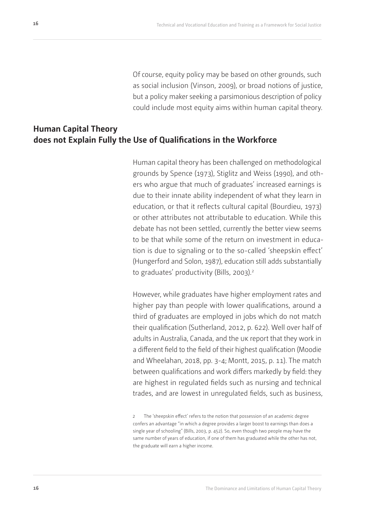Of course, equity policy may be based on other grounds, such as social inclusion (Vinson, 2009), or broad notions of justice, but a policy maker seeking a parsimonious description of policy could include most equity aims within human capital theory.

## <span id="page-15-0"></span>**Human Capital Theory does not Explain Fully the Use of Qualifications in the Workforce**

Human capital theory has been challenged on methodological grounds by Spence (1973), Stiglitz and Weiss (1990), and others who argue that much of graduates' increased earnings is due to their innate ability independent of what they learn in education, or that it reflects cultural capital (Bourdieu, 1973) or other attributes not attributable to education. While this debate has not been settled, currently the better view seems to be that while some of the return on investment in education is due to signaling or to the so-called 'sheepskin effect' (Hungerford and Solon, 1987), education still adds substantially to graduates' productivity (Bills, 2003).<sup>2</sup>

However, while graduates have higher employment rates and higher pay than people with lower qualifications, around a third of graduates are employed in jobs which do not match their qualification (Sutherland, 2012, p. 622). Well over half of adults in Australia, Canada, and the uk report that they work in a different field to the field of their highest qualification (Moodie and Wheelahan, 2018, pp. 3-4; Montt, 2015, p. 11). The match between qualifications and work differs markedly by field: they are highest in regulated fields such as nursing and technical trades, and are lowest in unregulated fields, such as business,

<sup>2</sup> The 'sheepskin effect' refers to the notion that possession of an academic degree confers an advantage "in which a degree provides a larger boost to earnings than does a single year of schooling" (Bills, 2003, p. 452). So, even though two people may have the same number of years of education, if one of them has graduated while the other has not, the graduate will earn a higher income.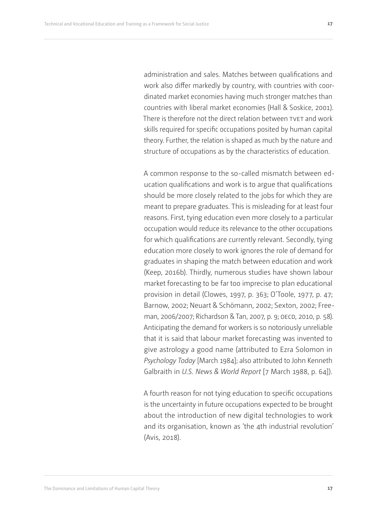administration and sales. Matches between qualifications and work also differ markedly by country, with countries with coordinated market economies having much stronger matches than countries with liberal market economies (Hall & Soskice, 2001). There is therefore not the direct relation between TVET and work skills required for specific occupations posited by human capital theory. Further, the relation is shaped as much by the nature and structure of occupations as by the characteristics of education.

A common response to the so-called mismatch between education qualifications and work is to argue that qualifications should be more closely related to the jobs for which they are meant to prepare graduates. This is misleading for at least four reasons. First, tying education even more closely to a particular occupation would reduce its relevance to the other occupations for which qualifications are currently relevant. Secondly, tying education more closely to work ignores the role of demand for graduates in shaping the match between education and work (Keep, 2016b). Thirdly, numerous studies have shown labour market forecasting to be far too imprecise to plan educational provision in detail (Clowes, 1997, p. 363; O'Toole, 1977, p. 47; Barnow, 2002; Neuart & Schömann, 2002; Sexton, 2002; Freeman, 2006/2007; Richardson & Tan, 2007, p. 9; OECD, 2010, p. 58). Anticipating the demand for workers is so notoriously unreliable that it is said that labour market forecasting was invented to give astrology a good name (attributed to Ezra Solomon in *Psychology Today* [March 1984]; also attributed to John Kenneth Galbraith in *U.S. News & World Report* [7 March 1988, p. 64]).

A fourth reason for not tying education to specific occupations is the uncertainty in future occupations expected to be brought about the introduction of new digital technologies to work and its organisation, known as 'the 4th industrial revolution' (Avis, 2018).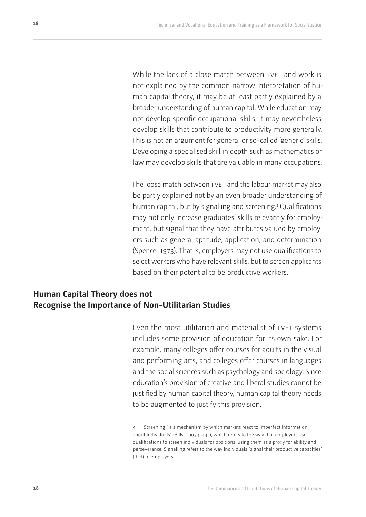<span id="page-17-0"></span>While the lack of a close match between TVET and work is not explained by the common narrow interpretation of human capital theory, it may be at least partly explained by a broader understanding of human capital. While education may not develop specific occupational skills, it may nevertheless develop skills that contribute to productivity more generally. This is not an argument for general or so-called 'generic' skills. Developing a specialised skill in depth such as mathematics or law may develop skills that are valuable in many occupations.

The loose match between TVET and the labour market may also be partly explained not by an even broader understanding of human capital, but by signalling and screening.<sup>3</sup> Qualifications may not only increase graduates' skills relevantly for employment, but signal that they have attributes valued by employers such as general aptitude, application, and determination (Spence, 1973). That is, employers may not use qualifications to select workers who have relevant skills, but to screen applicants based on their potential to be productive workers.

## **Human Capital Theory does not Recognise the Importance of Non-Utilitarian Studies**

Even the most utilitarian and materialist of TVET systems includes some provision of education for its own sake. For example, many colleges offer courses for adults in the visual and performing arts, and colleges offer courses in languages and the social sciences such as psychology and sociology. Since education's provision of creative and liberal studies cannot be justified by human capital theory, human capital theory needs to be augmented to justify this provision.

3 Screening "is a mechanism by which markets react to imperfect information about individuals" (Bills, 2003 p.445), which refers to the way that employers use qualifications to screen individuals for positions, using them as a proxy for ability and perseverance. Signalling refers to the way individuals "signal their productive capacities" (ibid) to employers.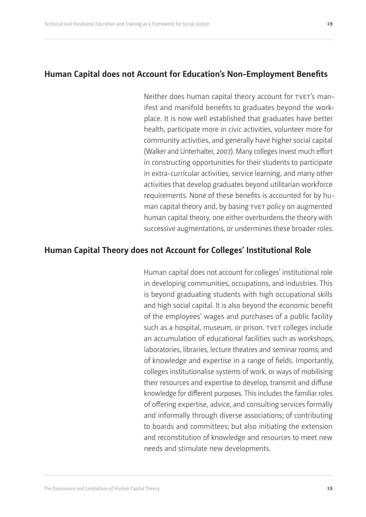## <span id="page-18-0"></span>**Human Capital does not Account for Education's Non-Employment Benefits**

Neither does human capital theory account for TVET's manifest and manifold benefits to graduates beyond the workplace. It is now well established that graduates have better health, participate more in civic activities, volunteer more for community activities, and generally have higher social capital (Walker and Unterhalter, 2007). Many colleges invest much effort in constructing opportunities for their students to participate in extra-curricular activities, service learning, and many other activities that develop graduates beyond utilitarian workforce requirements. None of these benefits is accounted for by human capital theory and, by basing tvet policy on augmented human capital theory, one either overburdens the theory with successive augmentations, or undermines these broader roles.

### **Human Capital Theory does not Account for Colleges' Institutional Role**

Human capital does not account for colleges' institutional role in developing communities, occupations, and industries. This is beyond graduating students with high occupational skills and high social capital. It is also beyond the economic benefit of the employees' wages and purchases of a public facility such as a hospital, museum, or prison. TVET colleges include an accumulation of educational facilities such as workshops, laboratories, libraries, lecture theatres and seminar rooms; and of knowledge and expertise in a range of fields. Importantly, colleges institutionalise systems of work, or ways of mobilising their resources and expertise to develop, transmit and diffuse knowledge for different purposes. This includes the familiar roles of offering expertise, advice, and consulting services formally and informally through diverse associations; of contributing to boards and committees; but also initiating the extension and reconstitution of knowledge and resources to meet new needs and stimulate new developments.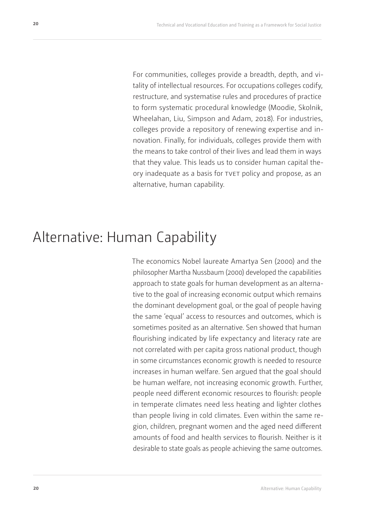<span id="page-19-0"></span>For communities, colleges provide a breadth, depth, and vitality of intellectual resources. For occupations colleges codify, restructure, and systematise rules and procedures of practice to form systematic procedural knowledge (Moodie, Skolnik, Wheelahan, Liu, Simpson and Adam, 2018). For industries, colleges provide a repository of renewing expertise and innovation. Finally, for individuals, colleges provide them with the means to take control of their lives and lead them in ways that they value. This leads us to consider human capital theory inadequate as a basis for tvet policy and propose, as an alternative, human capability.

## Alternative: Human Capability

The economics Nobel laureate Amartya Sen (2000) and the philosopher Martha Nussbaum (2000) developed the capabilities approach to state goals for human development as an alternative to the goal of increasing economic output which remains the dominant development goal, or the goal of people having the same 'equal' access to resources and outcomes, which is sometimes posited as an alternative. Sen showed that human flourishing indicated by life expectancy and literacy rate are not correlated with per capita gross national product, though in some circumstances economic growth is needed to resource increases in human welfare. Sen argued that the goal should be human welfare, not increasing economic growth. Further, people need different economic resources to flourish: people in temperate climates need less heating and lighter clothes than people living in cold climates. Even within the same region, children, pregnant women and the aged need different amounts of food and health services to flourish. Neither is it desirable to state goals as people achieving the same outcomes.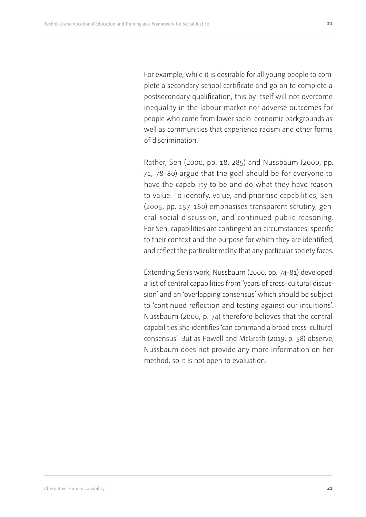For example, while it is desirable for all young people to complete a secondary school certificate and go on to complete a postsecondary qualification, this by itself will not overcome inequality in the labour market nor adverse outcomes for people who come from lower socio-economic backgrounds as well as communities that experience racism and other forms of discrimination.

Rather, Sen (2000, pp. 18, 285) and Nussbaum (2000, pp. 71, 78-80) argue that the goal should be for everyone to have the capability to be and do what they have reason to value. To identify, value, and prioritise capabilities, Sen (2005, pp. 157-160) emphasises transparent scrutiny, general social discussion, and continued public reasoning. For Sen, capabilities are contingent on circumstances, specific to their context and the purpose for which they are identified, and reflect the particular reality that any particular society faces.

Extending Sen's work, Nussbaum (2000, pp. 74-81) developed a list of central capabilities from 'years of cross-cultural discussion' and an 'overlapping consensus' which should be subject to 'continued reflection and testing against our intuitions'. Nussbaum (2000, p. 74) therefore believes that the central capabilities she identifies 'can command a broad cross-cultural consensus'. But as Powell and McGrath (2019, p. 58) observe, Nussbaum does not provide any more information on her method, so it is not open to evaluation.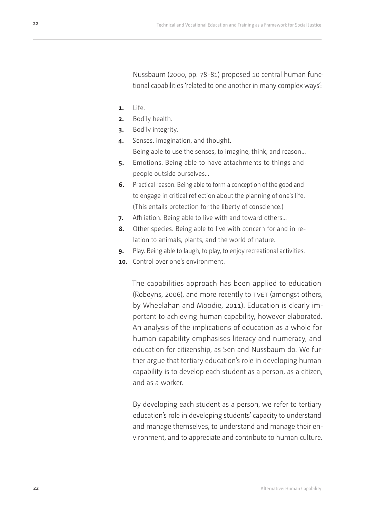Nussbaum (2000, pp. 78-81) proposed 10 central human functional capabilities 'related to one another in many complex ways':

- **1.** Life.
- **2.** Bodily health.
- **3.** Bodily integrity.
- **4.** Senses, imagination, and thought. Being able to use the senses, to imagine, think, and reason…
- **5.** Emotions. Being able to have attachments to things and people outside ourselves…
- **6.** Practical reason. Being able to form a conception of the good and to engage in critical reflection about the planning of one's life. (This entails protection for the liberty of conscience.)
- **7.** Affiliation. Being able to live with and toward others…
- **8.** Other species. Being able to live with concern for and in relation to animals, plants, and the world of nature.
- **9.** Play. Being able to laugh, to play, to enjoy recreational activities.
- **10.** Control over one's environment.

The capabilities approach has been applied to education (Robeyns, 2006), and more recently to TVET (amongst others, by Wheelahan and Moodie, 2011). Education is clearly important to achieving human capability, however elaborated. An analysis of the implications of education as a whole for human capability emphasises literacy and numeracy, and education for citizenship, as Sen and Nussbaum do. We further argue that tertiary education's role in developing human capability is to develop each student as a person, as a citizen, and as a worker.

By developing each student as a person, we refer to tertiary education's role in developing students' capacity to understand and manage themselves, to understand and manage their environment, and to appreciate and contribute to human culture.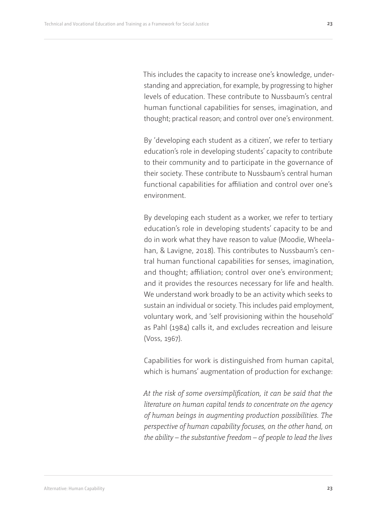This includes the capacity to increase one's knowledge, understanding and appreciation, for example, by progressing to higher levels of education. These contribute to Nussbaum's central human functional capabilities for senses, imagination, and thought; practical reason; and control over one's environment.

By 'developing each student as a citizen', we refer to tertiary education's role in developing students' capacity to contribute to their community and to participate in the governance of their society. These contribute to Nussbaum's central human functional capabilities for affiliation and control over one's environment.

By developing each student as a worker, we refer to tertiary education's role in developing students' capacity to be and do in work what they have reason to value (Moodie, Wheelahan, & Lavigne, 2018). This contributes to Nussbaum's central human functional capabilities for senses, imagination, and thought; affiliation; control over one's environment; and it provides the resources necessary for life and health. We understand work broadly to be an activity which seeks to sustain an individual or society. This includes paid employment, voluntary work, and 'self provisioning within the household' as Pahl (1984) calls it, and excludes recreation and leisure (Voss, 1967).

Capabilities for work is distinguished from human capital, which is humans' augmentation of production for exchange:

*At the risk of some oversimplification, it can be said that the literature on human capital tends to concentrate on the agency of human beings in augmenting production possibilities. The perspective of human capability focuses, on the other hand, on the ability – the substantive freedom – of people to lead the lives*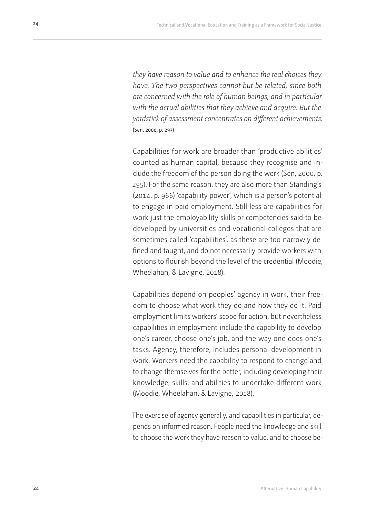*they have reason to value and to enhance the real choices they have. The two perspectives cannot but be related, since both are concerned with the role of human beings, and in particular with the actual abilities that they achieve and acquire. But the yardstick of assessment concentrates on different achievements.*  (Sen, 2000, p. 293)

Capabilities for work are broader than 'productive abilities' counted as human capital, because they recognise and include the freedom of the person doing the work (Sen, 2000, p. 295). For the same reason, they are also more than Standing's (2014, p. 966) 'capability power', which is a person's potential to engage in paid employment. Still less are capabilities for work just the employability skills or competencies said to be developed by universities and vocational colleges that are sometimes called 'capabilities', as these are too narrowly defined and taught, and do not necessarily provide workers with options to flourish beyond the level of the credential (Moodie, Wheelahan, & Lavigne, 2018).

Capabilities depend on peoples' agency in work, their freedom to choose what work they do and how they do it. Paid employment limits workers' scope for action, but nevertheless capabilities in employment include the capability to develop one's career, choose one's job, and the way one does one's tasks. Agency, therefore, includes personal development in work. Workers need the capability to respond to change and to change themselves for the better, including developing their knowledge, skills, and abilities to undertake different work (Moodie, Wheelahan, & Lavigne, 2018).

The exercise of agency generally, and capabilities in particular, depends on informed reason. People need the knowledge and skill to choose the work they have reason to value, and to choose be-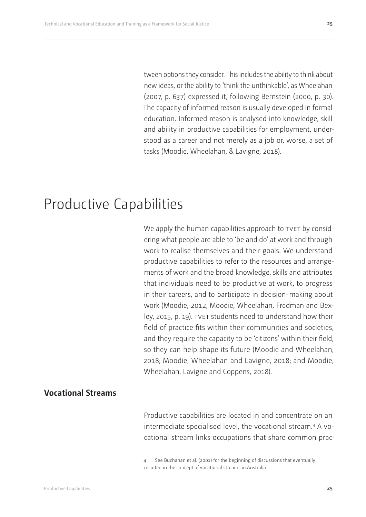<span id="page-24-0"></span>tween options they consider. This includes the ability to think about new ideas, or the ability to 'think the unthinkable', as Wheelahan (2007, p. 637) expressed it, following Bernstein (2000, p. 30). The capacity of informed reason is usually developed in formal education. Informed reason is analysed into knowledge, skill and ability in productive capabilities for employment, understood as a career and not merely as a job or, worse, a set of tasks (Moodie, Wheelahan, & Lavigne, 2018).

## Productive Capabilities

We apply the human capabilities approach to TVET by considering what people are able to 'be and do' at work and through work to realise themselves and their goals. We understand productive capabilities to refer to the resources and arrangements of work and the broad knowledge, skills and attributes that individuals need to be productive at work, to progress in their careers, and to participate in decision-making about work (Moodie, 2012; Moodie, Wheelahan, Fredman and Bexley, 2015, p. 19). TVET students need to understand how their field of practice fits within their communities and societies, and they require the capacity to be 'citizens' within their field, so they can help shape its future (Moodie and Wheelahan, 2018; Moodie, Wheelahan and Lavigne, 2018; and Moodie, Wheelahan, Lavigne and Coppens, 2018).

## **Vocational Streams**

Productive capabilities are located in and concentrate on an intermediate specialised level, the vocational stream.4 A vocational stream links occupations that share common prac-

<sup>4</sup> See Buchanan et al. (2001) for the beginning of discussions that eventually resulted in the concept of vocational streams in Australia.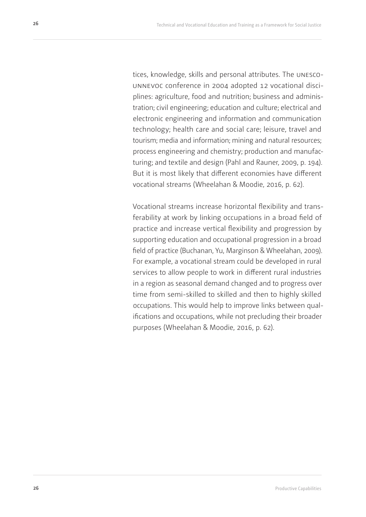tices, knowledge, skills and personal attributes. The unescounnevoc conference in 2004 adopted 12 vocational disciplines: agriculture, food and nutrition; business and administration; civil engineering; education and culture; electrical and electronic engineering and information and communication technology; health care and social care; leisure, travel and tourism; media and information; mining and natural resources; process engineering and chemistry; production and manufacturing; and textile and design (Pahl and Rauner, 2009, p. 194). But it is most likely that different economies have different vocational streams (Wheelahan & Moodie, 2016, p. 62).

Vocational streams increase horizontal flexibility and transferability at work by linking occupations in a broad field of practice and increase vertical flexibility and progression by supporting education and occupational progression in a broad field of practice (Buchanan, Yu, Marginson & Wheelahan, 2009). For example, a vocational stream could be developed in rural services to allow people to work in different rural industries in a region as seasonal demand changed and to progress over time from semi-skilled to skilled and then to highly skilled occupations. This would help to improve links between qualifications and occupations, while not precluding their broader purposes (Wheelahan & Moodie, 2016, p. 62).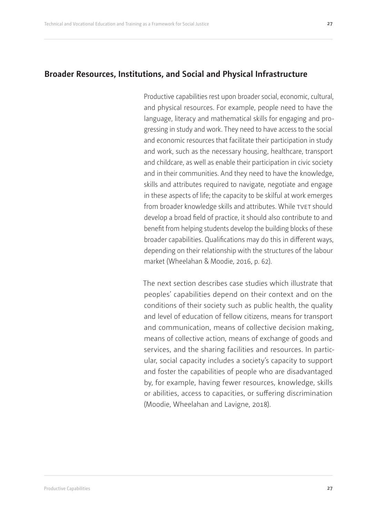<span id="page-26-0"></span>Productive capabilities rest upon broader social, economic, cultural, and physical resources. For example, people need to have the language, literacy and mathematical skills for engaging and progressing in study and work. They need to have access to the social and economic resources that facilitate their participation in study and work, such as the necessary housing, healthcare, transport and childcare, as well as enable their participation in civic society and in their communities. And they need to have the knowledge, skills and attributes required to navigate, negotiate and engage in these aspects of life; the capacity to be skilful at work emerges from broader knowledge skills and attributes. While TVET should develop a broad field of practice, it should also contribute to and benefit from helping students develop the building blocks of these broader capabilities. Qualifications may do this in different ways, depending on their relationship with the structures of the labour market (Wheelahan & Moodie, 2016, p. 62).

The next section describes case studies which illustrate that peoples' capabilities depend on their context and on the conditions of their society such as public health, the quality and level of education of fellow citizens, means for transport and communication, means of collective decision making, means of collective action, means of exchange of goods and services, and the sharing facilities and resources. In particular, social capacity includes a society's capacity to support and foster the capabilities of people who are disadvantaged by, for example, having fewer resources, knowledge, skills or abilities, access to capacities, or suffering discrimination (Moodie, Wheelahan and Lavigne, 2018).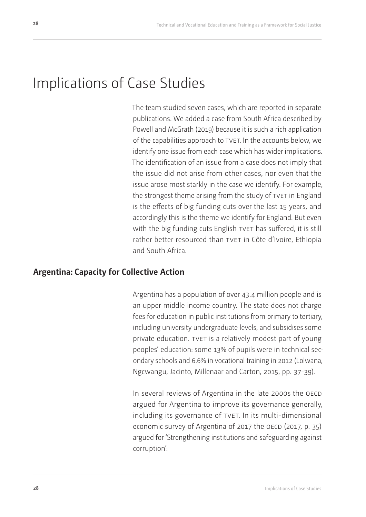<span id="page-27-0"></span>The team studied seven cases, which are reported in separate publications. We added a case from South Africa described by Powell and McGrath (2019) because it is such a rich application of the capabilities approach to TVET. In the accounts below, we identify one issue from each case which has wider implications. The identification of an issue from a case does not imply that the issue did not arise from other cases, nor even that the issue arose most starkly in the case we identify. For example, the strongest theme arising from the study of TVET in England is the effects of big funding cuts over the last 15 years, and accordingly this is the theme we identify for England. But even with the big funding cuts English TVET has suffered, it is still rather better resourced than TVET in Côte d'Ivoire, Ethiopia and South Africa.

## **Argentina: Capacity for Collective Action**

Argentina has a population of over 43.4 million people and is an upper middle income country. The state does not charge fees for education in public institutions from primary to tertiary, including university undergraduate levels, and subsidises some private education. TVET is a relatively modest part of young peoples' education: some 13% of pupils were in technical secondary schools and 6.6% in vocational training in 2012 (Lolwana, Ngcwangu, Jacinto, Millenaar and Carton, 2015, pp. 37-39).

In several reviews of Argentina in the late 2000s the OECD argued for Argentina to improve its governance generally, including its governance of TVET. In its multi-dimensional economic survey of Argentina of 2017 the OECD (2017, p. 35) argued for 'Strengthening institutions and safeguarding against corruption':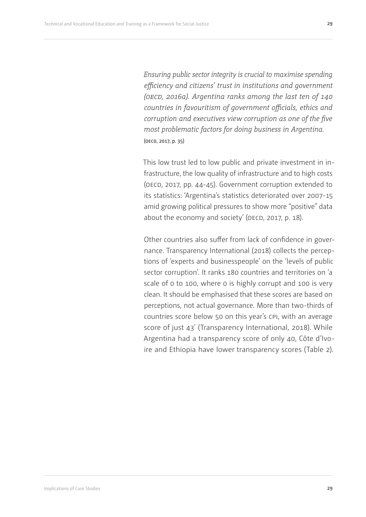*Ensuring public sector integrity is crucial to maximise spending efficiency and citizens' trust in institutions and government (oecd, 2016a). Argentina ranks among the last ten of 140 countries in favouritism of government officials, ethics and corruption and executives view corruption as one of the five most problematic factors for doing business in Argentina.* (oecd, 2017, p. 35)

This low trust led to low public and private investment in infrastructure, the low quality of infrastructure and to high costs (OECD, 2017, pp. 44-45). Government corruption extended to its statistics: 'Argentina's statistics deteriorated over 2007-15 amid growing political pressures to show more "positive" data about the economy and society' (OECD, 2017, p. 18).

Other countries also suffer from lack of confidence in governance. Transparency International (2018) collects the perceptions of 'experts and businesspeople' on the 'levels of public sector corruption'. It ranks 180 countries and territories on 'a scale of 0 to 100, where 0 is highly corrupt and 100 is very clean. It should be emphasised that these scores are based on perceptions, not actual governance. More than two-thirds of countries score below 50 on this year's cpi, with an average score of just 43' (Transparency International, 2018). While Argentina had a transparency score of only 40, Côte d'Ivoire and Ethiopia have lower transparency scores (Table 2).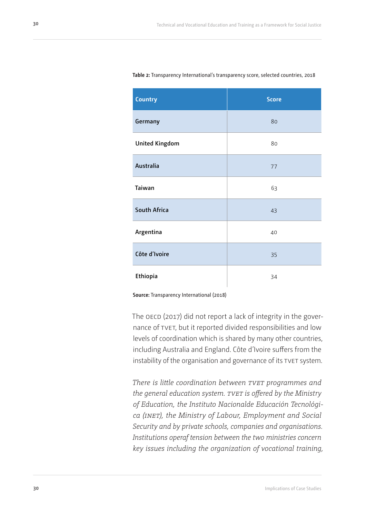| <b>Country</b>        | <b>Score</b> |
|-----------------------|--------------|
| Germany               | 80           |
| <b>United Kingdom</b> | 80           |
| Australia             | 77           |
| Taiwan                | 63           |
| <b>South Africa</b>   | 43           |
| Argentina             | 40           |
| Côte d'Ivoire         | 35           |
| Ethiopia              | 34           |

#### <span id="page-29-0"></span>**Table 2:** Transparency International's transparency score, selected countries, 2018

**Source:** Transparency International (2018)

The OECD (2017) did not report a lack of integrity in the governance of tvet, but it reported divided responsibilities and low levels of coordination which is shared by many other countries, including Australia and England. Côte d'Ivoire suffers from the instability of the organisation and governance of its TVET system.

*There is little coordination between tvet programmes and the general education system. tvet is offered by the Ministry of Education, the Instituto Nacionalde Educación Tecnológica (inet), the Ministry of Labour, Employment and Social Security and by private schools, companies and organisations. Institutions operaf tension between the two ministries concern key issues including the organization of vocational training,*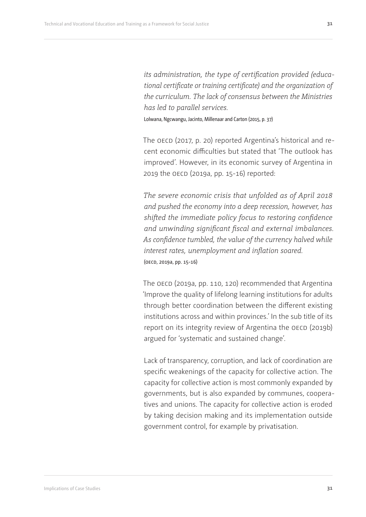*its administration, the type of certification provided (educational certificate or training certificate) and the organization of the curriculum. The lack of consensus between the Ministries has led to parallel services.*

Lolwana, Ngcwangu, Jacinto, Millenaar and Carton (2015, p. 37)

The OECD (2017, p. 20) reported Argentina's historical and recent economic difficulties but stated that 'The outlook has improved'. However, in its economic survey of Argentina in 2019 the OECD (2019a, pp. 15-16) reported:

*The severe economic crisis that unfolded as of April 2018 and pushed the economy into a deep recession, however, has shifted the immediate policy focus to restoring confidence and unwinding significant fiscal and external imbalances. As confidence tumbled, the value of the currency halved while interest rates, unemployment and inflation soared.*  (oecd, 2019a, pp. 15-16)

The OECD (2019a, pp. 110, 120) recommended that Argentina 'Improve the quality of lifelong learning institutions for adults through better coordination between the different existing institutions across and within provinces.' In the sub title of its report on its integrity review of Argentina the OECD (2019b) argued for 'systematic and sustained change'.

Lack of transparency, corruption, and lack of coordination are specific weakenings of the capacity for collective action. The capacity for collective action is most commonly expanded by governments, but is also expanded by communes, cooperatives and unions. The capacity for collective action is eroded by taking decision making and its implementation outside government control, for example by privatisation.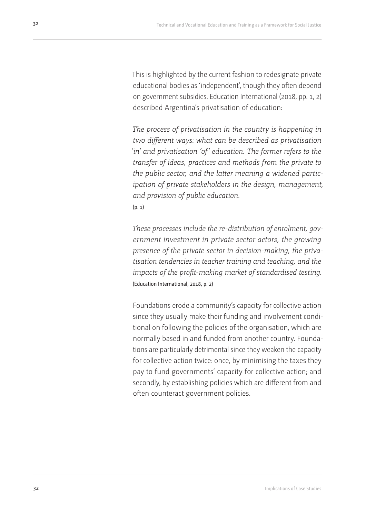This is highlighted by the current fashion to redesignate private educational bodies as 'independent', though they often depend on government subsidies. Education International (2018, pp. 1, 2) described Argentina's privatisation of education:

*The process of privatisation in the country is happening in two different ways: what can be described as privatisation 'in' and privatisation 'of' education. The former refers to the transfer of ideas, practices and methods from the private to the public sector, and the latter meaning a widened participation of private stakeholders in the design, management, and provision of public education.*

(p. 1)

*These processes include the re-distribution of enrolment, government investment in private sector actors, the growing presence of the private sector in decision-making, the privatisation tendencies in teacher training and teaching, and the impacts of the profit-making market of standardised testing.* (Education International, 2018, p. 2)

Foundations erode a community's capacity for collective action since they usually make their funding and involvement conditional on following the policies of the organisation, which are normally based in and funded from another country. Foundations are particularly detrimental since they weaken the capacity for collective action twice: once, by minimising the taxes they pay to fund governments' capacity for collective action; and secondly, by establishing policies which are different from and often counteract government policies.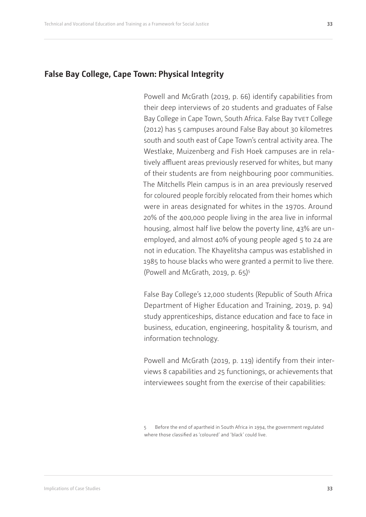### <span id="page-32-0"></span>**False Bay College, Cape Town: Physical Integrity**

Powell and McGrath (2019, p. 66) identify capabilities from their deep interviews of 20 students and graduates of False Bay College in Cape Town, South Africa. False Bay TVET College (2012) has 5 campuses around False Bay about 30 kilometres south and south east of Cape Town's central activity area. The Westlake, Muizenberg and Fish Hoek campuses are in relatively affluent areas previously reserved for whites, but many of their students are from neighbouring poor communities. The Mitchells Plein campus is in an area previously reserved for coloured people forcibly relocated from their homes which were in areas designated for whites in the 1970s. Around 20% of the 400,000 people living in the area live in informal housing, almost half live below the poverty line, 43% are unemployed, and almost 40% of young people aged 5 to 24 are not in education. The Khayelitsha campus was established in 1985 to house blacks who were granted a permit to live there. (Powell and McGrath, 2019, p. 65)5

False Bay College's 12,000 students (Republic of South Africa Department of Higher Education and Training, 2019, p. 94) study apprenticeships, distance education and face to face in business, education, engineering, hospitality & tourism, and information technology.

Powell and McGrath (2019, p. 119) identify from their interviews 8 capabilities and 25 functionings, or achievements that interviewees sought from the exercise of their capabilities:

5 Before the end of apartheid in South Africa in 1994, the government regulated where those classified as 'coloured' and 'black' could live.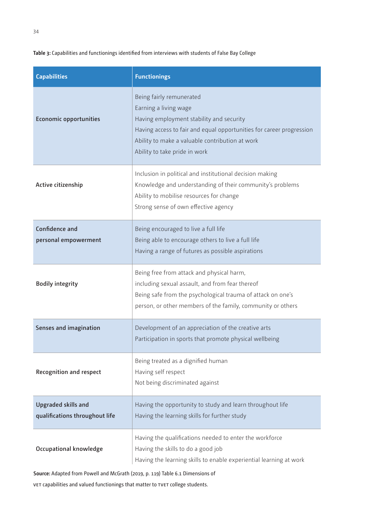#### <span id="page-33-0"></span>**Table 3:** Capabilities and functionings identified from interviews with students of False Bay College

| <b>Capabilities</b>                                          | <b>Functionings</b>                                                                                                                                                                                                                                       |
|--------------------------------------------------------------|-----------------------------------------------------------------------------------------------------------------------------------------------------------------------------------------------------------------------------------------------------------|
| <b>Economic opportunities</b>                                | Being fairly remunerated<br>Earning a living wage<br>Having employment stability and security<br>Having access to fair and equal opportunities for career progression<br>Ability to make a valuable contribution at work<br>Ability to take pride in work |
| Active citizenship                                           | Inclusion in political and institutional decision making<br>Knowledge and understanding of their community's problems<br>Ability to mobilise resources for change<br>Strong sense of own effective agency                                                 |
| <b>Confidence and</b><br>personal empowerment                | Being encouraged to live a full life<br>Being able to encourage others to live a full life<br>Having a range of futures as possible aspirations                                                                                                           |
| <b>Bodily integrity</b>                                      | Being free from attack and physical harm,<br>including sexual assault, and from fear thereof<br>Being safe from the psychological trauma of attack on one's<br>person, or other members of the family, community or others                                |
| Senses and imagination                                       | Development of an appreciation of the creative arts<br>Participation in sports that promote physical wellbeing                                                                                                                                            |
| <b>Recognition and respect</b>                               | Being treated as a dignified human<br>Having self respect<br>Not being discriminated against                                                                                                                                                              |
| <b>Upgraded skills and</b><br>qualifications throughout life | Having the opportunity to study and learn throughout life<br>Having the learning skills for further study                                                                                                                                                 |
| Occupational knowledge                                       | Having the qualifications needed to enter the workforce<br>Having the skills to do a good job<br>Having the learning skills to enable experiential learning at work                                                                                       |

**Source:** Adapted from Powell and McGrath (2019, p. 119) Table 6.1 Dimensions of

vet capabilities and valued functionings that matter to tvet college students.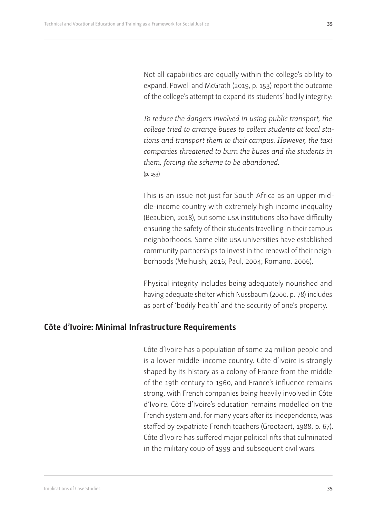<span id="page-34-0"></span>Not all capabilities are equally within the college's ability to expand. Powell and McGrath (2019, p. 153) report the outcome of the college's attempt to expand its students' bodily integrity:

*To reduce the dangers involved in using public transport, the college tried to arrange buses to collect students at local stations and transport them to their campus. However, the taxi companies threatened to burn the buses and the students in them, forcing the scheme to be abandoned.* (p. 153)

This is an issue not just for South Africa as an upper middle-income country with extremely high income inequality (Beaubien, 2018), but some usa institutions also have difficulty ensuring the safety of their students travelling in their campus neighborhoods. Some elite usa universities have established community partnerships to invest in the renewal of their neighborhoods (Melhuish, 2016; Paul, 2004; Romano, 2006).

Physical integrity includes being adequately nourished and having adequate shelter which Nussbaum (2000, p. 78) includes as part of 'bodily health' and the security of one's property.

## **Côte d'Ivoire: Minimal Infrastructure Requirements**

Côte d'Ivoire has a population of some 24 million people and is a lower middle-income country. Côte d'Ivoire is strongly shaped by its history as a colony of France from the middle of the 19th century to 1960, and France's influence remains strong, with French companies being heavily involved in Côte d'Ivoire. Côte d'Ivoire's education remains modelled on the French system and, for many years after its independence, was staffed by expatriate French teachers (Grootaert, 1988, p. 67). Côte d'Ivoire has suffered major political rifts that culminated in the military coup of 1999 and subsequent civil wars.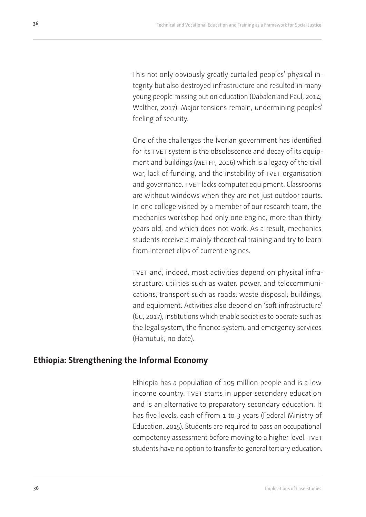<span id="page-35-0"></span>This not only obviously greatly curtailed peoples' physical integrity but also destroyed infrastructure and resulted in many young people missing out on education (Dabalen and Paul, 2014; Walther, 2017). Major tensions remain, undermining peoples' feeling of security.

One of the challenges the Ivorian government has identified for its TVET system is the obsolescence and decay of its equipment and buildings (METFP, 2016) which is a legacy of the civil war, lack of funding, and the instability of TVET organisation and governance. TVET lacks computer equipment. Classrooms are without windows when they are not just outdoor courts. In one college visited by a member of our research team, the mechanics workshop had only one engine, more than thirty years old, and which does not work. As a result, mechanics students receive a mainly theoretical training and try to learn from Internet clips of current engines.

tvet and, indeed, most activities depend on physical infrastructure: utilities such as water, power, and telecommunications; transport such as roads; waste disposal; buildings; and equipment. Activities also depend on 'soft infrastructure' (Gu, 2017), institutions which enable societies to operate such as the legal system, the finance system, and emergency services (Hamutuk, no date).

### **Ethiopia: Strengthening the Informal Economy**

Ethiopia has a population of 105 million people and is a low income country. TVET starts in upper secondary education and is an alternative to preparatory secondary education. It has five levels, each of from 1 to 3 years (Federal Ministry of Education, 2015). Students are required to pass an occupational competency assessment before moving to a higher level. TVET students have no option to transfer to general tertiary education.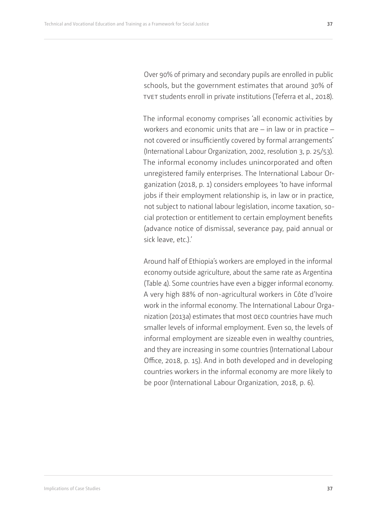Over 90% of primary and secondary pupils are enrolled in public schools, but the government estimates that around 30% of TVET students enroll in private institutions (Teferra et al., 2018).

The informal economy comprises 'all economic activities by workers and economic units that are – in law or in practice – not covered or insufficiently covered by formal arrangements' (International Labour Organization, 2002, resolution 3, p. 25/53). The informal economy includes unincorporated and often unregistered family enterprises. The International Labour Organization (2018, p. 1) considers employees 'to have informal jobs if their employment relationship is, in law or in practice, not subject to national labour legislation, income taxation, social protection or entitlement to certain employment benefits (advance notice of dismissal, severance pay, paid annual or sick leave, etc.).'

Around half of Ethiopia's workers are employed in the informal economy outside agriculture, about the same rate as Argentina (Table 4). Some countries have even a bigger informal economy. A very high 88% of non-agricultural workers in Côte d'Ivoire work in the informal economy. The International Labour Organization (2013a) estimates that most OECD countries have much smaller levels of informal employment. Even so, the levels of informal employment are sizeable even in wealthy countries, and they are increasing in some countries (International Labour Office, 2018, p. 15). And in both developed and in developing countries workers in the informal economy are more likely to be poor (International Labour Organization, 2018, p. 6).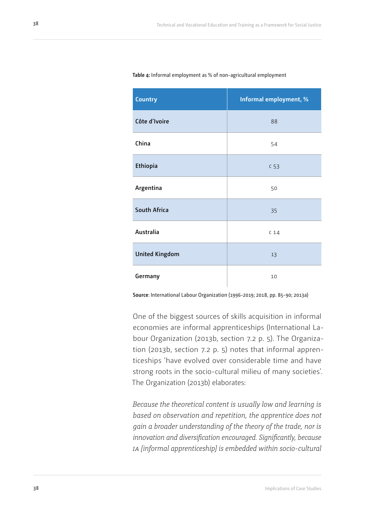| <b>Country</b>        | Informal employment, % |
|-----------------------|------------------------|
| Côte d'Ivoire         | 88                     |
| China                 | 54                     |
| Ethiopia              | C <sub>53</sub>        |
| Argentina             | 50                     |
| <b>South Africa</b>   | 35                     |
| Australia             | C <sub>14</sub>        |
| <b>United Kingdom</b> | 13                     |
| Germany               | 10                     |

#### <span id="page-37-0"></span>**Table 4:** Informal employment as % of non-agricultural employment

**Source**: International Labour Organization (1996-2019; 2018, pp. 85-90; 2013a)

One of the biggest sources of skills acquisition in informal economies are informal apprenticeships (International Labour Organization (2013b, section 7.2 p. 5). The Organization (2013b, section 7.2 p. 5) notes that informal apprenticeships 'have evolved over considerable time and have strong roots in the socio-cultural milieu of many societies'. The Organization (2013b) elaborates:

*Because the theoretical content is usually low and learning is based on observation and repetition, the apprentice does not gain a broader understanding of the theory of the trade, nor is innovation and diversification encouraged. Significantly, because ia [informal apprenticeship] is embedded within socio-cultural*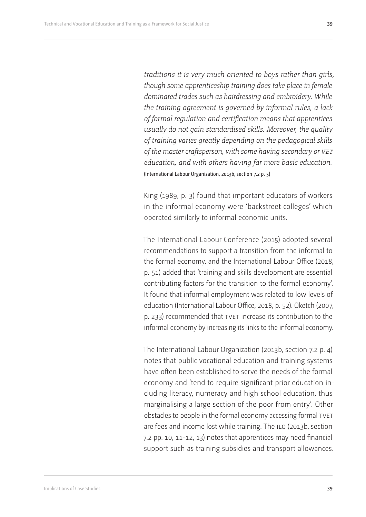*traditions it is very much oriented to boys rather than girls, though some apprenticeship training does take place in female dominated trades such as hairdressing and embroidery. While the training agreement is governed by informal rules, a lack of formal regulation and certification means that apprentices usually do not gain standardised skills. Moreover, the quality of training varies greatly depending on the pedagogical skills of the master craftsperson, with some having secondary or vet education, and with others having far more basic education.*  (International Labour Organization, 2013b, section 7.2 p. 5)

King (1989, p. 3) found that important educators of workers in the informal economy were 'backstreet colleges' which operated similarly to informal economic units.

The International Labour Conference (2015) adopted several recommendations to support a transition from the informal to the formal economy, and the International Labour Office (2018, p. 51) added that 'training and skills development are essential contributing factors for the transition to the formal economy'. It found that informal employment was related to low levels of education (International Labour Office, 2018, p. 52). Oketch (2007, p. 233) recommended that TVET increase its contribution to the informal economy by increasing its links to the informal economy.

The International Labour Organization (2013b, section 7.2 p. 4) notes that public vocational education and training systems have often been established to serve the needs of the formal economy and 'tend to require significant prior education including literacy, numeracy and high school education, thus marginalising a large section of the poor from entry'. Other obstacles to people in the formal economy accessing formal TVET are fees and income lost while training. The ILO (2013b, section 7.2 pp. 10, 11-12, 13) notes that apprentices may need financial support such as training subsidies and transport allowances.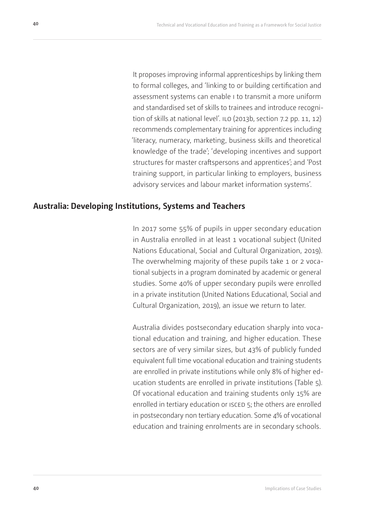<span id="page-39-0"></span>It proposes improving informal apprenticeships by linking them to formal colleges, and 'linking to or building certification and assessment systems can enable i to transmit a more uniform and standardised set of skills to trainees and introduce recognition of skills at national level'. ILO (2013b, section 7.2 pp. 11, 12) recommends complementary training for apprentices including 'literacy, numeracy, marketing, business skills and theoretical knowledge of the trade'; 'developing incentives and support structures for master craftspersons and apprentices'; and 'Post training support, in particular linking to employers, business advisory services and labour market information systems'.

### **Australia: Developing Institutions, Systems and Teachers**

In 2017 some 55% of pupils in upper secondary education in Australia enrolled in at least 1 vocational subject (United Nations Educational, Social and Cultural Organization, 2019). The overwhelming majority of these pupils take 1 or 2 vocational subjects in a program dominated by academic or general studies. Some 40% of upper secondary pupils were enrolled in a private institution (United Nations Educational, Social and Cultural Organization, 2019), an issue we return to later.

Australia divides postsecondary education sharply into vocational education and training, and higher education. These sectors are of very similar sizes, but 43% of publicly funded equivalent full time vocational education and training students are enrolled in private institutions while only 8% of higher education students are enrolled in private institutions (Table 5). Of vocational education and training students only 15% are enrolled in tertiary education or ISCED 5; the others are enrolled in postsecondary non tertiary education. Some 4% of vocational education and training enrolments are in secondary schools.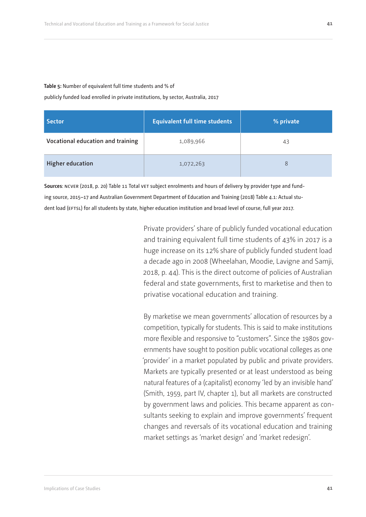#### <span id="page-40-0"></span>**Table 5:** Number of equivalent full time students and % of

publicly funded load enrolled in private institutions, by sector, Australia, 2017

| <b>Sector</b>                     | <b>Equivalent full time students</b> | % private |
|-----------------------------------|--------------------------------------|-----------|
| Vocational education and training | 1,089,966                            | 43        |
| <b>Higher education</b>           | 1,072,263                            | 8         |

**Sources**: ncver (2018, p. 20) Table 11 Total vet subject enrolments and hours of delivery by provider type and funding source, 2015–17 and Australian Government Department of Education and Training (2018) Table 4.1: Actual student load (EFTSL) for all students by state, higher education institution and broad level of course, full year 2017.

> Private providers' share of publicly funded vocational education and training equivalent full time students of 43% in 2017 is a huge increase on its 12% share of publicly funded student load a decade ago in 2008 (Wheelahan, Moodie, Lavigne and Samji, 2018, p. 44). This is the direct outcome of policies of Australian federal and state governments, first to marketise and then to privatise vocational education and training.

> By marketise we mean governments' allocation of resources by a competition, typically for students. This is said to make institutions more flexible and responsive to "customers". Since the 1980s governments have sought to position public vocational colleges as one 'provider' in a market populated by public and private providers. Markets are typically presented or at least understood as being natural features of a (capitalist) economy 'led by an invisible hand' (Smith, 1959, part IV, chapter 1), but all markets are constructed by government laws and policies. This became apparent as consultants seeking to explain and improve governments' frequent changes and reversals of its vocational education and training market settings as 'market design' and 'market redesign'.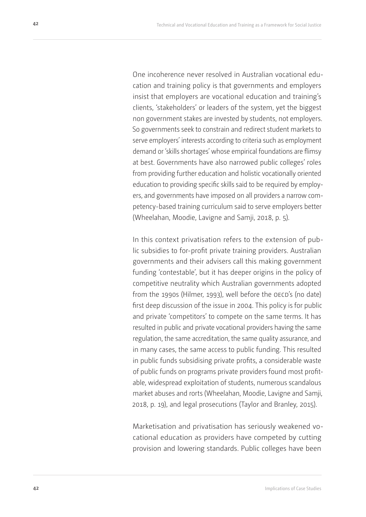One incoherence never resolved in Australian vocational education and training policy is that governments and employers insist that employers are vocational education and training's clients, 'stakeholders' or leaders of the system, yet the biggest non government stakes are invested by students, not employers. So governments seek to constrain and redirect student markets to serve employers' interests according to criteria such as employment demand or 'skills shortages' whose empirical foundations are flimsy at best. Governments have also narrowed public colleges' roles from providing further education and holistic vocationally oriented education to providing specific skills said to be required by employers, and governments have imposed on all providers a narrow competency-based training curriculum said to serve employers better (Wheelahan, Moodie, Lavigne and Samji, 2018, p. 5).

In this context privatisation refers to the extension of public subsidies to for-profit private training providers. Australian governments and their advisers call this making government funding 'contestable', but it has deeper origins in the policy of competitive neutrality which Australian governments adopted from the 1990s (Hilmer, 1993), well before the OECD's (no date) first deep discussion of the issue in 2004. This policy is for public and private 'competitors' to compete on the same terms. It has resulted in public and private vocational providers having the same regulation, the same accreditation, the same quality assurance, and in many cases, the same access to public funding. This resulted in public funds subsidising private profits, a considerable waste of public funds on programs private providers found most profitable, widespread exploitation of students, numerous scandalous market abuses and rorts (Wheelahan, Moodie, Lavigne and Samji, 2018, p. 19), and legal prosecutions (Taylor and Branley, 2015).

Marketisation and privatisation has seriously weakened vocational education as providers have competed by cutting provision and lowering standards. Public colleges have been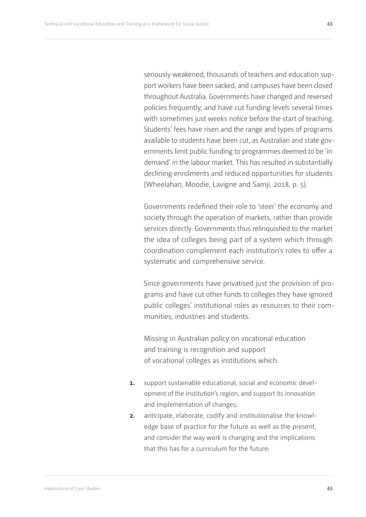seriously weakened, thousands of teachers and education support workers have been sacked, and campuses have been closed throughout Australia. Governments have changed and reversed policies frequently, and have cut funding levels several times with sometimes just weeks notice before the start of teaching. Students' fees have risen and the range and types of programs available to students have been cut, as Australian and state governments limit public funding to programmes deemed to be 'in demand' in the labour market. This has resulted in substantially declining enrolments and reduced opportunities for students (Wheelahan, Moodie, Lavigne and Samji, 2018, p. 5).

Governments redefined their role to 'steer' the economy and society through the operation of markets, rather than provide services directly. Governments thus relinquished to the market the idea of colleges being part of a system which through coordination complement each institution's roles to offer a systematic and comprehensive service.

Since governments have privatised just the provision of programs and have cut other funds to colleges they have ignored public colleges' institutional roles as resources to their communities, industries and students.

Missing in Australian policy on vocational education and training is recognition and support of vocational colleges as institutions which:

- **1.** support sustainable educational, social and economic development of the institution's region, and support its innovation and implementation of changes;
- **2.** anticipate, elaborate, codify and institutionalise the knowledge base of practice for the future as well as the present, and consider the way work is changing and the implications that this has for a curriculum for the future;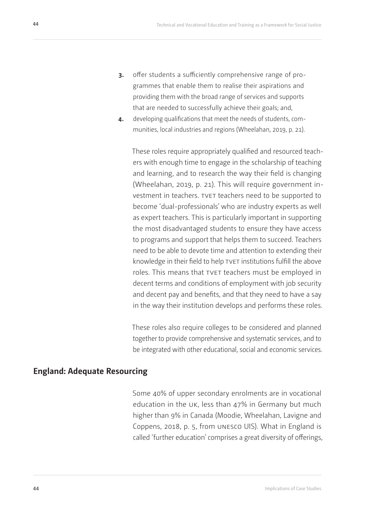- <span id="page-43-0"></span>**3.** offer students a sufficiently comprehensive range of programmes that enable them to realise their aspirations and providing them with the broad range of services and supports that are needed to successfully achieve their goals; and,
- **4.** developing qualifications that meet the needs of students, communities, local industries and regions (Wheelahan, 2019, p. 21).

These roles require appropriately qualified and resourced teachers with enough time to engage in the scholarship of teaching and learning, and to research the way their field is changing (Wheelahan, 2019, p. 21). This will require government investment in teachers. TVET teachers need to be supported to become 'dual-professionals' who are industry experts as well as expert teachers. This is particularly important in supporting the most disadvantaged students to ensure they have access to programs and support that helps them to succeed. Teachers need to be able to devote time and attention to extending their knowledge in their field to help TVET institutions fulfill the above roles. This means that TVET teachers must be employed in decent terms and conditions of employment with job security and decent pay and benefits, and that they need to have a say in the way their institution develops and performs these roles.

These roles also require colleges to be considered and planned together to provide comprehensive and systematic services, and to be integrated with other educational, social and economic services.

## **England: Adequate Resourcing**

Some 40% of upper secondary enrolments are in vocational education in the uk, less than 47% in Germany but much higher than 9% in Canada (Moodie, Wheelahan, Lavigne and Coppens, 2018, p. 5, from unesco UIS). What in England is called 'further education' comprises a great diversity of offerings,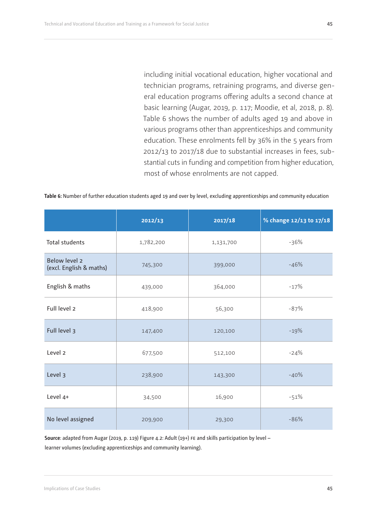**45**

<span id="page-44-0"></span>including initial vocational education, higher vocational and technician programs, retraining programs, and diverse general education programs offering adults a second chance at basic learning (Augar, 2019, p. 117; Moodie, et al, 2018, p. 8). Table 6 shows the number of adults aged 19 and above in various programs other than apprenticeships and community education. These enrolments fell by 36% in the 5 years from 2012/13 to 2017/18 due to substantial increases in fees, substantial cuts in funding and competition from higher education, most of whose enrolments are not capped.

|                                          | 2012/13   | 2017/18   | % change 12/13 to 17/18 |
|------------------------------------------|-----------|-----------|-------------------------|
| <b>Total students</b>                    | 1,782,200 | 1,131,700 | $-36%$                  |
| Below level 2<br>(excl. English & maths) | 745,300   | 399,000   | $-46%$                  |
| English & maths                          | 439,000   | 364,000   | $-17%$                  |
| Full level 2                             | 418,900   | 56,300    | $-87%$                  |
| Full level 3                             | 147,400   | 120,100   | $-19%$                  |
| Level <sub>2</sub>                       | 677,500   | 512,100   | $-24%$                  |
| Level 3                                  | 238,900   | 143,300   | $-40%$                  |
| Level 4+                                 | 34,500    | 16,900    | $-51%$                  |
| No level assigned                        | 209,900   | 29,300    | $-86%$                  |

**Source**: adapted from Augar (2019, p. 119) Figure 4.2: Adult (19+) fe and skills participation by level – learner volumes (excluding apprenticeships and community learning).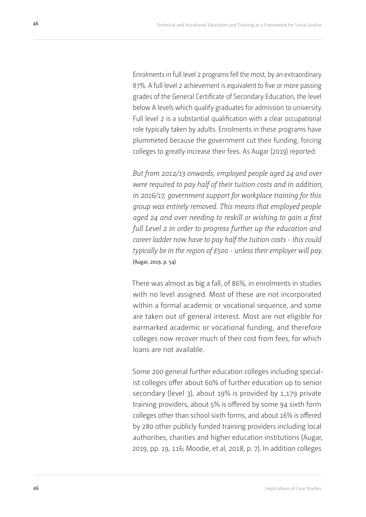Enrolments in full level 2 programs fell the most, by an extraordinary 87%. A full level 2 achievement is equivalent to five or more passing grades of the General Certificate of Secondary Education, the level below A levels which qualify graduates for admission to university. Full level 2 is a substantial qualification with a clear occupational role typically taken by adults. Enrolments in these programs have plummeted because the government cut their funding, forcing colleges to greatly increase their fees. As Augar (2019) reported:

*But from 2012/13 onwards, employed people aged 24 and over were required to pay half of their tuition costs and in addition, in 2016/17, government support for workplace training for this group was entirely removed. This means that employed people aged 24 and over needing to reskill or wishing to gain a first full Level 2 in order to progress further up the education and career ladder now have to pay half the tuition costs - this could typically be in the region of £500 - unless their employer will pay.* (Augar, 2019, p. 54)

There was almost as big a fall, of 86%, in enrolments in studies with no level assigned. Most of these are not incorporated within a formal academic or vocational sequence, and some are taken out of general interest. Most are not eligible for earmarked academic or vocational funding, and therefore colleges now recover much of their cost from fees, for which loans are not available.

Some 200 general further education colleges including specialist colleges offer about 60% of further education up to senior secondary (level 3), about 19% is provided by 1,179 private training providers, about 5% is offered by some 94 sixth form colleges other than school sixth forms, and about 16% is offered by 280 other publicly funded training providers including local authorities, charities and higher education institutions (Augar, 2019, pp. 19, 116; Moodie, et al, 2018, p. 7). In addition colleges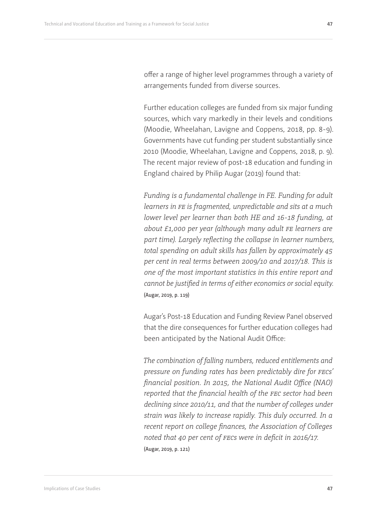offer a range of higher level programmes through a variety of arrangements funded from diverse sources.

Further education colleges are funded from six major funding sources, which vary markedly in their levels and conditions (Moodie, Wheelahan, Lavigne and Coppens, 2018, pp. 8-9). Governments have cut funding per student substantially since 2010 (Moodie, Wheelahan, Lavigne and Coppens, 2018, p. 9). The recent major review of post-18 education and funding in England chaired by Philip Augar (2019) found that:

*Funding is a fundamental challenge in FE. Funding for adult learners in fe is fragmented, unpredictable and sits at a much lower level per learner than both HE and 16-18 funding, at about £1,000 per year (although many adult fe learners are part time). Largely reflecting the collapse in learner numbers, total spending on adult skills has fallen by approximately 45 per cent in real terms between 2009/10 and 2017/18. This is one of the most important statistics in this entire report and cannot be justified in terms of either economics or social equity.* (Augar, 2019, p. 119)

Augar's Post-18 Education and Funding Review Panel observed that the dire consequences for further education colleges had been anticipated by the National Audit Office:

*The combination of falling numbers, reduced entitlements and pressure on funding rates has been predictably dire for fecs' financial position. In 2015, the National Audit Office (NAO) reported that the financial health of the fec sector had been declining since 2010/11, and that the number of colleges under strain was likely to increase rapidly. This duly occurred. In a recent report on college finances, the Association of Colleges noted that 40 per cent of fecs were in deficit in 2016/17.* (Augar, 2019, p. 121)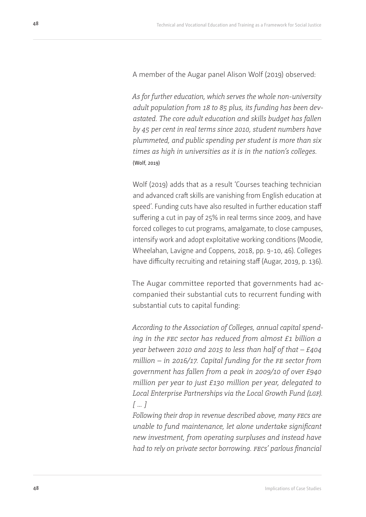A member of the Augar panel Alison Wolf (2019) observed:

*As for further education, which serves the whole non-university adult population from 18 to 85 plus, its funding has been devastated. The core adult education and skills budget has fallen by 45 per cent in real terms since 2010, student numbers have plummeted, and public spending per student is more than six times as high in universities as it is in the nation's colleges.* (Wolf, 2019)

Wolf (2019) adds that as a result 'Courses teaching technician and advanced craft skills are vanishing from English education at speed'. Funding cuts have also resulted in further education staff suffering a cut in pay of 25% in real terms since 2009, and have forced colleges to cut programs, amalgamate, to close campuses, intensify work and adopt exploitative working conditions (Moodie, Wheelahan, Lavigne and Coppens, 2018, pp. 9-10, 46). Colleges have difficulty recruiting and retaining staff (Augar, 2019, p. 136).

The Augar committee reported that governments had accompanied their substantial cuts to recurrent funding with substantial cuts to capital funding:

*According to the Association of Colleges, annual capital spending in the fec sector has reduced from almost £1 billion a year between 2010 and 2015 to less than half of that – £404 million – in 2016/17. Capital funding for the fe sector from government has fallen from a peak in 2009/10 of over £940 million per year to just £130 million per year, delegated to Local Enterprise Partnerships via the Local Growth Fund (lgf). [ … ]*

*Following their drop in revenue described above, many fecs are unable to fund maintenance, let alone undertake significant new investment, from operating surpluses and instead have had to rely on private sector borrowing. fecs' parlous financial*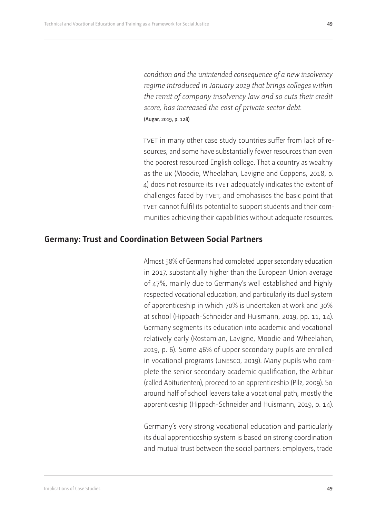<span id="page-48-0"></span>*condition and the unintended consequence of a new insolvency regime introduced in January 2019 that brings colleges within the remit of company insolvency law and so cuts their credit score, has increased the cost of private sector debt.*  (Augar, 2019, p. 128)

tvet in many other case study countries suffer from lack of resources, and some have substantially fewer resources than even the poorest resourced English college. That a country as wealthy as the uk (Moodie, Wheelahan, Lavigne and Coppens, 2018, p. 4) does not resource its TVET adequately indicates the extent of challenges faced by tvet, and emphasises the basic point that tvet cannot fulfil its potential to support students and their communities achieving their capabilities without adequate resources.

### **Germany: Trust and Coordination Between Social Partners**

Almost 58% of Germans had completed upper secondary education in 2017, substantially higher than the European Union average of 47%, mainly due to Germany's well established and highly respected vocational education, and particularly its dual system of apprenticeship in which 70% is undertaken at work and 30% at school (Hippach-Schneider and Huismann, 2019, pp. 11, 14). Germany segments its education into academic and vocational relatively early (Rostamian, Lavigne, Moodie and Wheelahan, 2019, p. 6). Some 46% of upper secondary pupils are enrolled in vocational programs (unesco, 2019). Many pupils who complete the senior secondary academic qualification, the Arbitur (called Abiturienten), proceed to an apprenticeship (Pilz, 2009). So around half of school leavers take a vocational path, mostly the apprenticeship (Hippach-Schneider and Huismann, 2019, p. 14).

Germany's very strong vocational education and particularly its dual apprenticeship system is based on strong coordination and mutual trust between the social partners: employers, trade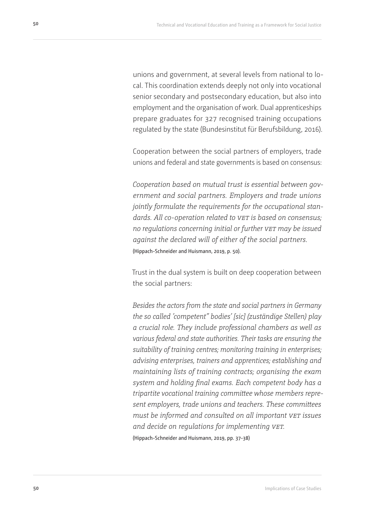unions and government, at several levels from national to local. This coordination extends deeply not only into vocational senior secondary and postsecondary education, but also into employment and the organisation of work. Dual apprenticeships prepare graduates for 327 recognised training occupations regulated by the state (Bundesinstitut für Berufsbildung, 2016).

Cooperation between the social partners of employers, trade unions and federal and state governments is based on consensus:

*Cooperation based on mutual trust is essential between government and social partners. Employers and trade unions jointly formulate the requirements for the occupational standards. All co-operation related to vet is based on consensus; no regulations concerning initial or further vet may be issued against the declared will of either of the social partners.* (Hippach-Schneider and Huismann, 2019, p. 50).

Trust in the dual system is built on deep cooperation between the social partners:

*Besides the actors from the state and social partners in Germany the so called 'competent" bodies' [sic] (zuständige Stellen) play a crucial role. They include professional chambers as well as various federal and state authorities. Their tasks are ensuring the suitability of training centres; monitoring training in enterprises; advising enterprises, trainers and apprentices; establishing and maintaining lists of training contracts; organising the exam system and holding final exams. Each competent body has a tripartite vocational training committee whose members represent employers, trade unions and teachers. These committees must be informed and consulted on all important vet issues and decide on regulations for implementing vet.* (Hippach-Schneider and Huismann, 2019, pp. 37-38)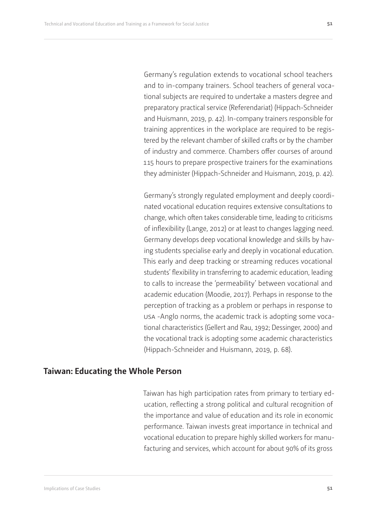Germany's regulation extends to vocational school teachers and to in-company trainers. School teachers of general vocational subjects are required to undertake a masters degree and preparatory practical service (Referendariat) (Hippach-Schneider and Huismann, 2019, p. 42). In-company trainers responsible for training apprentices in the workplace are required to be registered by the relevant chamber of skilled crafts or by the chamber of industry and commerce. Chambers offer courses of around 115 hours to prepare prospective trainers for the examinations they administer (Hippach-Schneider and Huismann, 2019, p. 42).

Germany's strongly regulated employment and deeply coordinated vocational education requires extensive consultations to change, which often takes considerable time, leading to criticisms of inflexibility (Lange, 2012) or at least to changes lagging need. Germany develops deep vocational knowledge and skills by having students specialise early and deeply in vocational education. This early and deep tracking or streaming reduces vocational students' flexibility in transferring to academic education, leading to calls to increase the 'permeability' between vocational and academic education (Moodie, 2017). Perhaps in response to the perception of tracking as a problem or perhaps in response to usa -Anglo norms, the academic track is adopting some vocational characteristics (Gellert and Rau, 1992; Dessinger, 2000) and the vocational track is adopting some academic characteristics (Hippach-Schneider and Huismann, 2019, p. 68).

## **Taiwan: Educating the Whole Person**

Taiwan has high participation rates from primary to tertiary education, reflecting a strong political and cultural recognition of the importance and value of education and its role in economic performance. Taiwan invests great importance in technical and vocational education to prepare highly skilled workers for manufacturing and services, which account for about 90% of its gross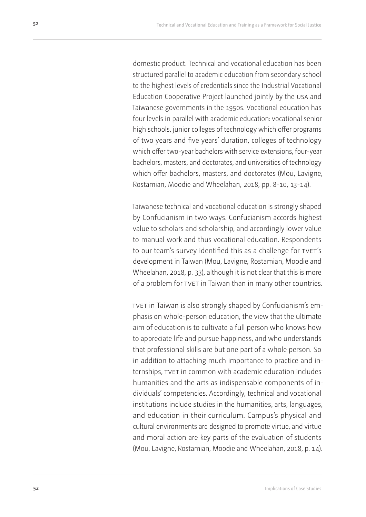<span id="page-51-0"></span>domestic product. Technical and vocational education has been structured parallel to academic education from secondary school to the highest levels of credentials since the Industrial Vocational Education Cooperative Project launched jointly by the usa and Taiwanese governments in the 1950s. Vocational education has four levels in parallel with academic education: vocational senior high schools, junior colleges of technology which offer programs of two years and five years' duration, colleges of technology which offer two-year bachelors with service extensions, four-year bachelors, masters, and doctorates; and universities of technology which offer bachelors, masters, and doctorates (Mou, Lavigne, Rostamian, Moodie and Wheelahan, 2018, pp. 8-10, 13-14).

Taiwanese technical and vocational education is strongly shaped by Confucianism in two ways. Confucianism accords highest value to scholars and scholarship, and accordingly lower value to manual work and thus vocational education. Respondents to our team's survey identified this as a challenge for TVET's development in Taiwan (Mou, Lavigne, Rostamian, Moodie and Wheelahan, 2018, p. 33), although it is not clear that this is more of a problem for TVET in Taiwan than in many other countries.

tvet in Taiwan is also strongly shaped by Confucianism's emphasis on whole-person education, the view that the ultimate aim of education is to cultivate a full person who knows how to appreciate life and pursue happiness, and who understands that professional skills are but one part of a whole person. So in addition to attaching much importance to practice and internships, TVET in common with academic education includes humanities and the arts as indispensable components of individuals' competencies. Accordingly, technical and vocational institutions include studies in the humanities, arts, languages, and education in their curriculum. Campus's physical and cultural environments are designed to promote virtue, and virtue and moral action are key parts of the evaluation of students (Mou, Lavigne, Rostamian, Moodie and Wheelahan, 2018, p. 14).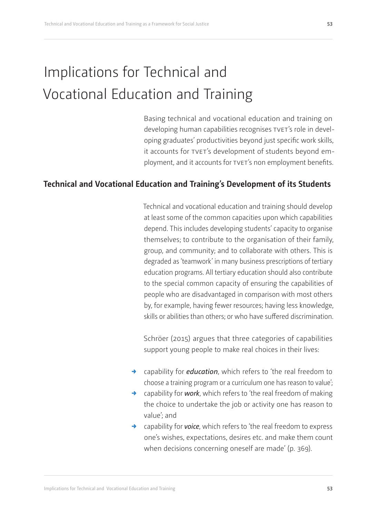# <span id="page-52-0"></span>Implications for Technical and Vocational Education and Training

Basing technical and vocational education and training on developing human capabilities recognises TVET's role in developing graduates' productivities beyond just specific work skills, it accounts for TVET's development of students beyond employment, and it accounts for TVET's non employment benefits.

## **Technical and Vocational Education and Training's Development of its Students**

Technical and vocational education and training should develop at least some of the common capacities upon which capabilities depend. This includes developing students' capacity to organise themselves; to contribute to the organisation of their family, group, and community; and to collaborate with others. This is degraded as 'teamwork' in many business prescriptions of tertiary education programs. All tertiary education should also contribute to the special common capacity of ensuring the capabilities of people who are disadvantaged in comparison with most others by, for example, having fewer resources; having less knowledge, skills or abilities than others; or who have suffered discrimination.

Schröer (2015) argues that three categories of capabilities support young people to make real choices in their lives:

- $\rightarrow$  capability for *education*, which refers to 'the real freedom to choose a training program or a curriculum one has reason to value';
- $\rightarrow$  capability for *work*, which refers to 'the real freedom of making the choice to undertake the job or activity one has reason to value'; and
- $\rightarrow$  capability for *voice*, which refers to 'the real freedom to express one's wishes, expectations, desires etc. and make them count when decisions concerning oneself are made' (p. 369).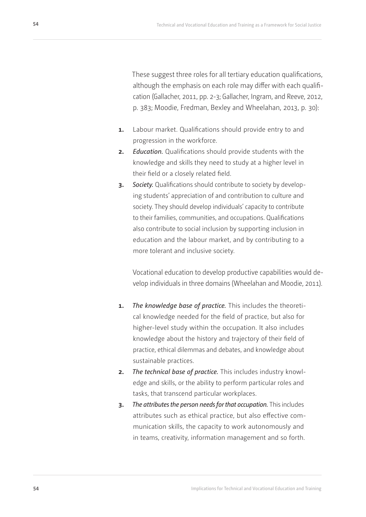These suggest three roles for all tertiary education qualifications, although the emphasis on each role may differ with each qualification (Gallacher, 2011, pp. 2-3; Gallacher, Ingram, and Reeve, 2012, p. 383; Moodie, Fredman, Bexley and Wheelahan, 2013, p. 30):

- **1.** Labour market. Qualifications should provide entry to and progression in the workforce.
- **2.** *Education.* Qualifications should provide students with the knowledge and skills they need to study at a higher level in their field or a closely related field.
- **3.** *Society.* Qualifications should contribute to society by developing students' appreciation of and contribution to culture and society. They should develop individuals' capacity to contribute to their families, communities, and occupations. Qualifications also contribute to social inclusion by supporting inclusion in education and the labour market, and by contributing to a more tolerant and inclusive society.

Vocational education to develop productive capabilities would develop individuals in three domains (Wheelahan and Moodie, 2011).

- **1.** *The knowledge base of practice.* This includes the theoretical knowledge needed for the field of practice, but also for higher-level study within the occupation. It also includes knowledge about the history and trajectory of their field of practice, ethical dilemmas and debates, and knowledge about sustainable practices.
- **2.** *The technical base of practice.* This includes industry knowledge and skills, or the ability to perform particular roles and tasks, that transcend particular workplaces.
- **3.** *The attributes the person needs for that occupation.* This includes attributes such as ethical practice, but also effective communication skills, the capacity to work autonomously and in teams, creativity, information management and so forth.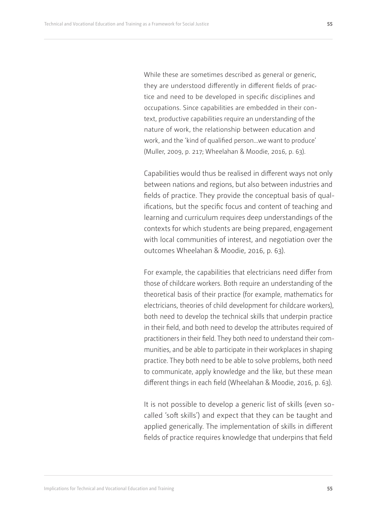While these are sometimes described as general or generic, they are understood differently in different fields of practice and need to be developed in specific disciplines and occupations. Since capabilities are embedded in their context, productive capabilities require an understanding of the nature of work, the relationship between education and work, and the 'kind of qualified person…we want to produce' (Muller, 2009, p. 217; Wheelahan & Moodie, 2016, p. 63).

Capabilities would thus be realised in different ways not only between nations and regions, but also between industries and fields of practice. They provide the conceptual basis of qualifications, but the specific focus and content of teaching and learning and curriculum requires deep understandings of the contexts for which students are being prepared, engagement with local communities of interest, and negotiation over the outcomes Wheelahan & Moodie, 2016, p. 63).

For example, the capabilities that electricians need differ from those of childcare workers. Both require an understanding of the theoretical basis of their practice (for example, mathematics for electricians, theories of child development for childcare workers), both need to develop the technical skills that underpin practice in their field, and both need to develop the attributes required of practitioners in their field. They both need to understand their communities, and be able to participate in their workplaces in shaping practice. They both need to be able to solve problems, both need to communicate, apply knowledge and the like, but these mean different things in each field (Wheelahan & Moodie, 2016, p. 63).

It is not possible to develop a generic list of skills (even socalled 'soft skills') and expect that they can be taught and applied generically. The implementation of skills in different fields of practice requires knowledge that underpins that field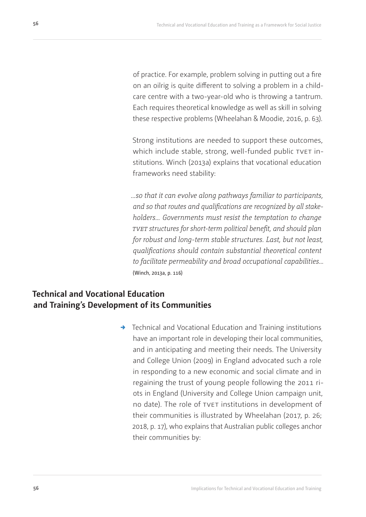of practice. For example, problem solving in putting out a fire on an oilrig is quite different to solving a problem in a childcare centre with a two-year-old who is throwing a tantrum. Each requires theoretical knowledge as well as skill in solving these respective problems (Wheelahan & Moodie, 2016, p. 63).

Strong institutions are needed to support these outcomes, which include stable, strong, well-funded public TVET institutions. Winch (2013a) explains that vocational education frameworks need stability:

*…so that it can evolve along pathways familiar to participants, and so that routes and qualifications are recognized by all stakeholders… Governments must resist the temptation to change tvet structures for short-term political benefit, and should plan for robust and long-term stable structures. Last, but not least, qualifications should contain substantial theoretical content to facilitate permeability and broad occupational capabilities…* (Winch, 2013a, p. 116)

## **Technical and Vocational Education and Training's Development of its Communities**

 $\rightarrow$  Technical and Vocational Education and Training institutions have an important role in developing their local communities, and in anticipating and meeting their needs. The University and College Union (2009) in England advocated such a role in responding to a new economic and social climate and in regaining the trust of young people following the 2011 riots in England (University and College Union campaign unit, no date). The role of TVET institutions in development of their communities is illustrated by Wheelahan (2017, p. 26; 2018, p. 17), who explains that Australian public colleges anchor their communities by: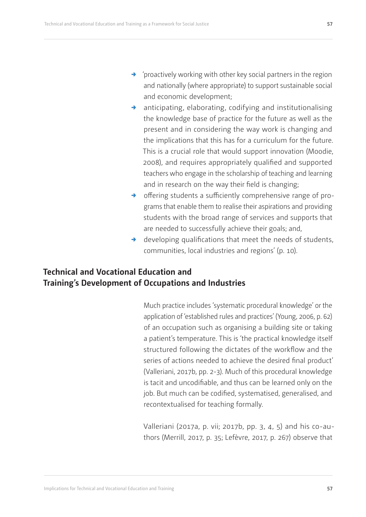- <span id="page-56-0"></span> $\rightarrow$  anticipating, elaborating, codifying and institutionalising the knowledge base of practice for the future as well as the present and in considering the way work is changing and the implications that this has for a curriculum for the future. This is a crucial role that would support innovation (Moodie, 2008), and requires appropriately qualified and supported teachers who engage in the scholarship of teaching and learning and in research on the way their field is changing;
- $\rightarrow$  offering students a sufficiently comprehensive range of programs that enable them to realise their aspirations and providing students with the broad range of services and supports that are needed to successfully achieve their goals; and,
- $\rightarrow$  developing qualifications that meet the needs of students, communities, local industries and regions' (p. 10).

## **Technical and Vocational Education and Training's Development of Occupations and Industries**

Much practice includes 'systematic procedural knowledge' or the application of 'established rules and practices' (Young, 2006, p. 62) of an occupation such as organising a building site or taking a patient's temperature. This is 'the practical knowledge itself structured following the dictates of the workflow and the series of actions needed to achieve the desired final product' (Valleriani, 2017b, pp. 2-3). Much of this procedural knowledge is tacit and uncodifiable, and thus can be learned only on the job. But much can be codified, systematised, generalised, and recontextualised for teaching formally.

Valleriani (2017a, p. vii; 2017b, pp. 3, 4, 5) and his co-authors (Merrill, 2017, p. 35; Lefèvre, 2017, p. 267) observe that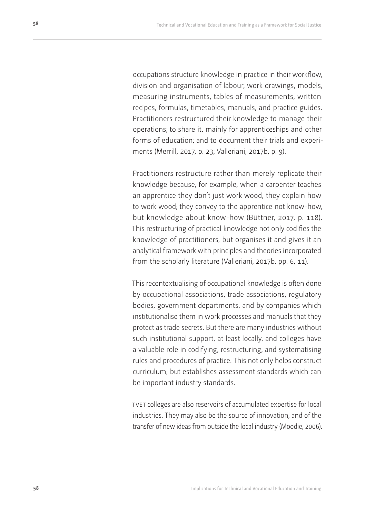<span id="page-57-0"></span>occupations structure knowledge in practice in their workflow, division and organisation of labour, work drawings, models, measuring instruments, tables of measurements, written recipes, formulas, timetables, manuals, and practice guides. Practitioners restructured their knowledge to manage their operations; to share it, mainly for apprenticeships and other forms of education; and to document their trials and experiments (Merrill, 2017, p. 23; Valleriani, 2017b, p. 9).

Practitioners restructure rather than merely replicate their knowledge because, for example, when a carpenter teaches an apprentice they don't just work wood, they explain how to work wood; they convey to the apprentice not know-how, but knowledge about know-how (Büttner, 2017, p. 118). This restructuring of practical knowledge not only codifies the knowledge of practitioners, but organises it and gives it an analytical framework with principles and theories incorporated from the scholarly literature (Valleriani, 2017b, pp. 6, 11).

This recontextualising of occupational knowledge is often done by occupational associations, trade associations, regulatory bodies, government departments, and by companies which institutionalise them in work processes and manuals that they protect as trade secrets. But there are many industries without such institutional support, at least locally, and colleges have a valuable role in codifying, restructuring, and systematising rules and procedures of practice. This not only helps construct curriculum, but establishes assessment standards which can be important industry standards.

tvet colleges are also reservoirs of accumulated expertise for local industries. They may also be the source of innovation, and of the transfer of new ideas from outside the local industry (Moodie, 2006).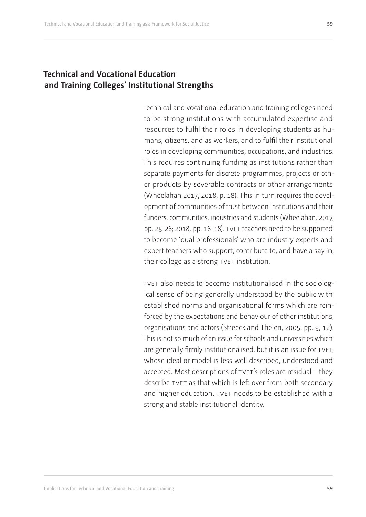## <span id="page-58-0"></span>**Technical and Vocational Education and Training Colleges' Institutional Strengths**

Technical and vocational education and training colleges need to be strong institutions with accumulated expertise and resources to fulfil their roles in developing students as humans, citizens, and as workers; and to fulfil their institutional roles in developing communities, occupations, and industries. This requires continuing funding as institutions rather than separate payments for discrete programmes, projects or other products by severable contracts or other arrangements (Wheelahan 2017; 2018, p. 18). This in turn requires the development of communities of trust between institutions and their funders, communities, industries and students (Wheelahan, 2017, pp. 25-26; 2018, pp. 16-18). TVET teachers need to be supported to become 'dual professionals' who are industry experts and expert teachers who support, contribute to, and have a say in, their college as a strong TVET institution.

tvet also needs to become institutionalised in the sociological sense of being generally understood by the public with established norms and organisational forms which are reinforced by the expectations and behaviour of other institutions, organisations and actors (Streeck and Thelen, 2005, pp. 9, 12). This is not so much of an issue for schools and universities which are generally firmly institutionalised, but it is an issue for TVET, whose ideal or model is less well described, understood and accepted. Most descriptions of TVET's roles are residual - they describe TVET as that which is left over from both secondary and higher education. TVET needs to be established with a strong and stable institutional identity.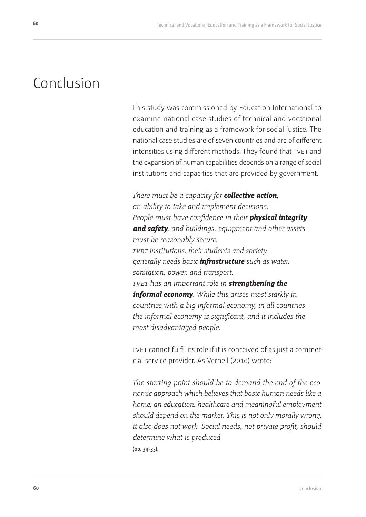# Conclusion

This study was commissioned by Education International to examine national case studies of technical and vocational education and training as a framework for social justice. The national case studies are of seven countries and are of different intensities using different methods. They found that TVET and the expansion of human capabilities depends on a range of social institutions and capacities that are provided by government.

*There must be a capacity for collective action, an ability to take and implement decisions. People must have confidence in their physical integrity and safety, and buildings, equipment and other assets must be reasonably secure. tvet institutions, their students and society generally needs basic infrastructure such as water, sanitation, power, and transport. tvet has an important role in strengthening the informal economy. While this arises most starkly in countries with a big informal economy, in all countries the informal economy is significant, and it includes the most disadvantaged people.*

tvet cannot fulfil its role if it is conceived of as just a commercial service provider. As Vernell (2010) wrote:

*The starting point should be to demand the end of the economic approach which believes that basic human needs like a home, an education, healthcare and meaningful employment should depend on the market. This is not only morally wrong; it also does not work. Social needs, not private profit, should determine what is produced*  (pp. 34-35).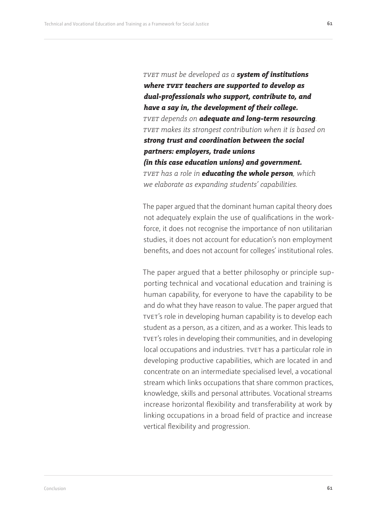<span id="page-60-0"></span>*tvet must be developed as a system of institutions where tvet teachers are supported to develop as dual-professionals who support, contribute to, and have a say in, the development of their college. tvet depends on adequate and long-term resourcing. tvet makes its strongest contribution when it is based on strong trust and coordination between the social partners: employers, trade unions (in this case education unions) and government. tvet has a role in educating the whole person, which we elaborate as expanding students' capabilities.*

The paper argued that the dominant human capital theory does not adequately explain the use of qualifications in the workforce, it does not recognise the importance of non utilitarian studies, it does not account for education's non employment benefits, and does not account for colleges' institutional roles.

The paper argued that a better philosophy or principle supporting technical and vocational education and training is human capability, for everyone to have the capability to be and do what they have reason to value. The paper argued that tvet's role in developing human capability is to develop each student as a person, as a citizen, and as a worker. This leads to tvet's roles in developing their communities, and in developing local occupations and industries. TVET has a particular role in developing productive capabilities, which are located in and concentrate on an intermediate specialised level, a vocational stream which links occupations that share common practices, knowledge, skills and personal attributes. Vocational streams increase horizontal flexibility and transferability at work by linking occupations in a broad field of practice and increase vertical flexibility and progression.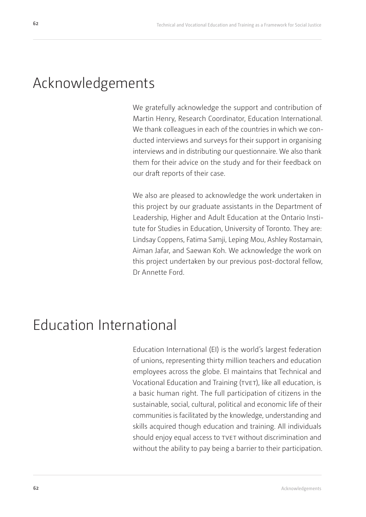## Acknowledgements

We gratefully acknowledge the support and contribution of Martin Henry, Research Coordinator, Education International. We thank colleagues in each of the countries in which we conducted interviews and surveys for their support in organising interviews and in distributing our questionnaire. We also thank them for their advice on the study and for their feedback on our draft reports of their case.

We also are pleased to acknowledge the work undertaken in this project by our graduate assistants in the Department of Leadership, Higher and Adult Education at the Ontario Institute for Studies in Education, University of Toronto. They are: Lindsay Coppens, Fatima Samji, Leping Mou, Ashley Rostamain, Aiman Jafar, and Saewan Koh. We acknowledge the work on this project undertaken by our previous post-doctoral fellow, Dr Annette Ford.

# Education International

Education International (EI) is the world's largest federation of unions, representing thirty million teachers and education employees across the globe. EI maintains that Technical and Vocational Education and Training (TVET), like all education, is a basic human right. The full participation of citizens in the sustainable, social, cultural, political and economic life of their communities is facilitated by the knowledge, understanding and skills acquired though education and training. All individuals should enjoy equal access to TVET without discrimination and without the ability to pay being a barrier to their participation.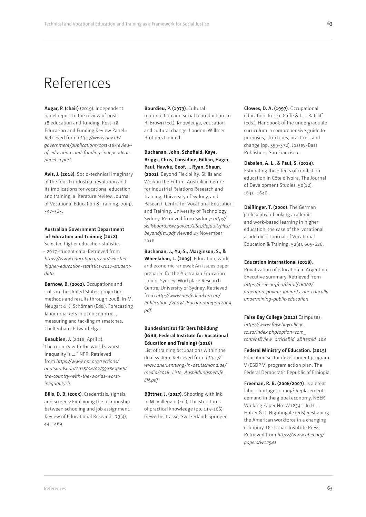<span id="page-62-0"></span>**Augar, P. (chair)** (2019). Independent panel report to the review of post-18 education and funding. Post-18 Education and Funding Review Panel. Retrieved from *https://www.gov.uk/ government/publications/post-18-reviewof-education-and-funding-independentpanel-report*

**Avis, J. (2018)**. Socio-technical imaginary of the fourth industrial revolution and its implications for vocational education and training: a literature review. Journal of Vocational Education & Training, 70(3), 337-363.

#### **Australian Government Department of Education and Training (2018)**

Selected higher education statistics – 2017 student data. Retrieved from *https://www.education.gov.au/selectedhigher-education-statistics-2017-studentdata*

**Barnow, B. (2002).** Occupations and skills in the United States: projection methods and results through 2008. In M. Neugart & K. Schöman (Eds.), Forecasting labour markets in OECD countries. measuring and tackling mismatches. Cheltenham: Edward Elgar.

**Beaubien, J.** (2018, April 2). "The country with the world's worst inequality is …." NPR. Retrieved from *https://www.npr.org/sections/ goatsandsoda/2018/04/02/598864666/ the-country-with-the-worlds-worstinequality-is*

**Bills, D. B. (2003)**. Credentials, signals, and screens: Explaining the relationship between schooling and job assignment. Review of Educational Research, 73(4), 441-469.

**Bourdieu, P. (1973)**. Cultural reproduction and social reproduction. In R. Brown (Ed.), Knowledge, education and cultural change. London: Willmer Brothers Limited.

**Buchanan, John, Schofield, Kaye, Briggs, Chris, Considine, Gillian, Hager, Paul, Hawke, Geof, … Ryan, Shaun. (2001)**. Beyond Flexibility: Skills and Work in the Future. Australian Centre for Industrial Relations Research and Training, University of Sydney, and Research Centre for Vocational Education and Training, University of Technology, Sydney. Retrieved from Sydney: *http:// skillsboard.nsw.gov.au/sites/default/files/ beyondflex.pdf* viewed 23 November 2016

**Buchanan, J., Yu, S., Marginson, S., & Wheelahan, L. (2009)**. Education, work and economic renewal: An issues paper prepared for the Australian Education Union. Sydney: Workplace Research Centre, University of Sydney. Retrieved from *http://www.aeufederal.org.au/ Publications/2009/ JBuchananreport2009. pdf.*

**Bundesinstitut für Berufsbildung (BiBB, Federal Institute for Vocational Education and Training) (2016)** List of training occupations within the dual system. Retrieved from *https:// www.anerkennung-in-deutschland.de/ media/2016\_Liste\_Ausbildungsberufe\_ EN.pdf*

**Büttner, J. (2017)**. Shooting with ink. In M. Valleriani (Ed.), The structures of practical knowledge (pp. 115-166). Gewerbestrasse, Switzerland: Springer. **Clowes, D. A. (1997)**. Occupational education. In J. G. Gaffe & J. L. Ratcliff (Eds.), Handbook of the undergraduate curriculum: a comprehensive guide to purposes, structures, practices, and change (pp. 359-372). Jossey-Bass Publishers, San Francisco.

#### **Dabalen, A. L., & Paul, S. (2014)**.

Estimating the effects of conflict on education in Côte d'Ivoire. The Journal of Development Studies, 50(12), 1631–1646.

**Deißinger, T. (2000)**. The German 'philosophy' of linking academic and work-based learning in higher education: the case of the 'vocational academies'. Journal of Vocational Education & Training, 52(4), 605-626.

#### **Education International (2018)**.

Privatization of education in Argentina. Executive summary. Retrieved from *https://ei-ie.org/en/detail/16002/ argentina-private-interests-are-criticallyundermining-public-education*

**False Bay College (2012)** Campuses, *https://www.falsebaycollege. co.za/index.php?option=com\_ content&view=article&id=2&Itemid=104*

**Federal Ministry of Education. (2015)** Education sector development program V (ESDP V) program action plan. The Federal Democratic Republic of Ethiopia.

**Freeman, R. B. (2006/2007)**. Is a great labor shortage coming? Replacement demand in the global economy. NBER Working Paper No. W12541. In H. J. Holzer & D. Nightingale (eds) Reshaping the American workforce in a changing economy. DC: Urban Institute Press. Retrieved from *https://www.nber.org/ papers/w12541*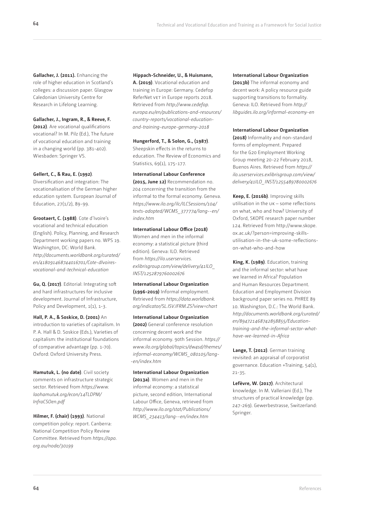<span id="page-63-0"></span>**Gallacher, J. (2011).** Enhancing the role of higher education in Scotland's colleges: a discussion paper. Glasgow Caledonian University Centre for Research in Lifelong Learning.

**Gallacher, J., Ingram, R., & Reeve, F. (2012)**. Are vocational qualifications vocational? In M. Pilz (Ed.), The future

of vocational education and training in a changing world (pp. 381-402). Wiesbaden: Springer VS.

#### **Gellert, C., & Rau, E. (1992)**.

Diversification and integration: The vocationalisation of the German higher education system. European Journal of Education, 27(1/2), 89-99.

**Grootaert, C. (1988)**. Cote d'Ivoire's vocational and technical education (English). Policy, Planning, and Research Department working papers no. WPS 19. Washington, DC: World Bank. *http://documents.worldbank.org/curated/ en/418091468744016701/Cote-dIvoiresvocational-and-technical-education*

**Gu, Q. (2017)**. Editorial: Integrating soft and hard infrastructures for inclusive development. Journal of Infrastructure, Policy and Development, 1(1), 1-3.

**Hall, P. A., & Soskice, D. (2001)** An introduction to varieties of capitalism. In P. A. Hall & D. Soskice (Eds.), Varieties of capitalism: the institutional foundations of comparative advantage (pp. 1-70). Oxford: Oxford University Press.

**Hamutuk, L. (no date)**. Civil society comments on infrastructure strategic sector. Retrieved from *https://www. laohamutuk.org/econ/14TLDPM/ InfraCSOen.pdf*

**Hilmer, F. (chair) (1993)**. National competition policy: report. Canberra: National Competition Policy Review Committee. Retrieved from *https://apo. org.au/node/30199*

**64**

#### **Hippach-Schneider, U., & Huismann,**

**A. (2019)**. Vocational education and training in Europe: Germany. Cedefop ReferNet vet in Europe reports 2018. Retrieved from *http://www.cedefop. europa.eu/en/publications-and-resources/ country-reports/vocational-educationand-training-europe-germany-2018*

**Hungerford, T., & Solon, G., (1987)**.

Sheepskin effects in the returns to education. The Review of Economics and Statistics, 69(1), 175-177.

#### **International Labour Conference**

**(2015, June 12)** Recommendation no. 204 concerning the transition from the informal to the formal economy. Geneva. *https://www.ilo.org/ilc/ILCSessions/104/ texts-adopted/WCMS\_377774/lang--en/ index.htm*

#### **International Labour Office (2018)**

Women and men in the informal economy: a statistical picture (third edition). Geneva: ILO. Retrieved from *https://ilo.userservices. exlibrisgroup.com/view/delivery/41ILO\_ INST/1252879760002676*

**International Labour Organization (1996-2019)** Informal employment. Retrieved from *https://data.worldbank. org/indicator/SL.ISV.IFRM.ZS?view=chart*

**International Labour Organization (2002)** General conference resolution concerning decent work and the informal economy. 90th Session. *https:// www.ilo.org/global/topics/dw4sd/themes/ informal-economy/WCMS\_080105/lang- -en/index.htm*

**International Labour Organization (2013a)**. Women and men in the informal economy: a statistical picture, second edition, International Labour Office, Geneva, retrieved from *http://www.ilo.org/stat/Publications/ WCMS\_234413/lang--en/index.htm*

#### **International Labour Organization**

**(2013b)** The informal economy and decent work: A policy resource guide supporting transitions to formality. Geneva: ILO. Retrieved from *http:// libguides.ilo.org/informal-economy-en*

#### **International Labour Organization**

**(2018)** Informality and non-standard forms of employment. Prepared for the G20 Employment Working Group meeting 20-22 February 2018, Buenos Aires. Retrieved from *https:// ilo.userservices.exlibrisgroup.com/view/ delivery/41ILO\_INST/1255489780002676*

**Keep, E. (2016b)**. Improving skills utilisation in the uk – some reflections on what, who and how? University of Oxford, SKOPE research paper number 124. Retrieved from http://www.skope. ox.ac.uk/?person=improving-skillsutilisation-in-the-uk-some-reflectionson-what-who-and-how

**King, K. (1989)**. Education, training and the informal sector: what have we learned in Africa? Population and Human Resources Department. Education and Employment Division background paper series no. PHREE 89 10. Washington, D.C.: The World Bank. *http://documents.worldbank.org/curated/ en/894721468742858855/Educationtraining-and-the-informal-sector-whathave-we-learned-in-Africa*

**Lange, T. (2012)**. German training revisited: an appraisal of corporatist governance. Education +Training, 54(1), 21-35.

**Lefèvre, W. (2017)**. Architectural knowledge. In M. Valleriani (Ed.), The structures of practical knowledge (pp. 247-269). Gewerbestrasse, Switzerland: Springer.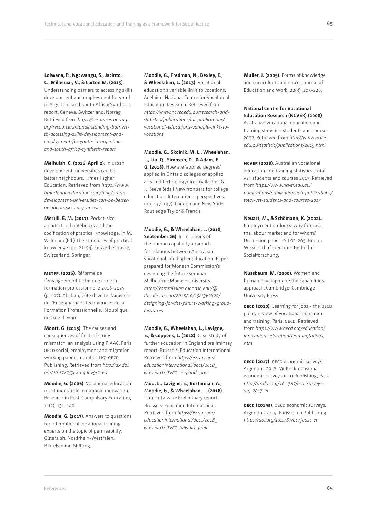#### **Lolwana, P., Ngcwangu, S., Jacinto, C., Millenaar, V., & Carton M. (2015)**.

Understanding barriers to accessing skills development and employment for youth in Argentina and South Africa: Synthesis report. Geneva, Switzerland: Norrag. Retrieved from *https://resources.norrag. org/resource/25/understanding-barriersto-accessing-skills-development-andemployment-for-youth-in-argentinaand-south-africa-synthesis-report*

**Melhuish, C. (2016, April 2)**. In urban development, universities can be better neighbours. Times Higher Education. Retrieved from *https://www. timeshighereducation.com/blog/urbandevelopment-universities-can-be-betterneighbours#survey-answer*

**Merrill, E. M. (2017)**. Pocket-size architectural notebooks and the codification of practical knowledge. In M. Valleriani (Ed.) The structures of practical knowledge (pp. 21-54). Gewerbestrasse, Switzerland: Springer.

**metfp. (2016)**. Réforme de l'enseignement technique et de la formation professionnelle 2016-2025 (p. 107). Abidjan, Côte d'Ivoire: Ministère de l'Enseignement Technique et de la Formation Professionnelle, République de Côte d'Ivoire.

**Montt, G. (2015)**. The causes and consequences of field-of study mismatch: an analysis using PIAAC. Paris: oeco social, employment and migration working papers, number 167, OECD Publishing. Retrieved from *http://dx.doi. org/10.1787/5jrxm4dhv9r2-en*

**Moodie, G. (2006)**. Vocational education institutions' role in national innovation. Research in Post-Compulsory Education, 11(2), 131-140.

**Moodie, G. (2017)**. Answers to questions for international vocational training experts on the topic of permeability. Gütersloh, Nordrhein-Westfalen: Bertelsmann Stiftung.

**Moodie, G., Fredman, N., Bexley, E., & Wheelahan, L. (2013)**. Vocational education's variable links to vocations. Adelaide: National Centre for Vocational Education Research. Retrieved from *https://www.ncver.edu.au/research-andstatistics/publications/all-publications/ vocational-educations-variable-links-tovocations*

**Moodie, G., Skolnik, M. L., Wheelahan, L., Liu, Q., Simpson, D., & Adam, E. G. (2018)**. How are 'applied degrees' applied in Ontario colleges of applied arts and technology? In J. Gallacher, & F. Reeve (eds.) New frontiers for college education. International perspectives. (pp. 137-147). London and New York: Routledge Taylor & Francis.

**Moodie, G., & Wheelahan, L. (2018, September 26)**. Implications of the human capability approach for relations between Australian vocational and higher education. Paper prepared for Monash Commission's designing the future seminar. Melbourne: Monash University. *https://commission.monash.edu/@ the-discussion/2018/10/19/1362822/ designing-for-the-future-working-groupresources*

**Moodie, G., Wheelahan, L., Lavigne, E., & Coppens, L. (2018)**. Case study of further education in England preliminary report. Brussels: Education International Retrieved from *https://issuu.com/ educationinternational/docs/2018\_ eiresearch\_tvet\_england\_preli*

**Mou, L., Lavigne, E., Rostamian, A., Moodie, G., & Wheelahan, L. (2018)**. tvet in Taiwan: Preliminary report. Brussels: Education International. Retrieved from *https://issuu.com/ educationinternational/docs/2018\_ eiresearch\_tvet\_taiwain\_preli*

**Muller, J. (2009)**. Forms of knowledge and curriculum coherence. Journal of Education and Work, 22(3), 205-226.

**National Centre for Vocational Education Research (NCVER) (2008)** Australian vocational education and

training statistics: students and courses 2007. Retrieved from *http://www.ncver. edu.au/statistic/publications/2019.html*

**ncver (2018)**. Australian vocational education and training statistics. Total vet students and courses 2017. Retrieved from *https://www.ncver.edu.au/ publications/publications/all-publications/ total-vet-students-and-courses-2017*

**Neuart, M., & Schömann, K. (2002).** Employment outlooks: why forecast the labour market and for whom? Discussion paper FS I 02-205. Berlin: Wissenschaftszentrum Berlin für Sozialforschung.

**Nussbaum, M. (2000)**. Women and human development: the capabilities approach. Cambridge: Cambridge University Press.

**oecd (2010)**. Learning for jobs - the OECD policy review of vocational education and training. Paris: OECD. Retrieved from *https://www.oecd.org/education/ innovation-education/learningforjobs. htm*

**oecd (2017)**. OECD economic surveys: Argentina 2017: Multi-dimensional economic survey. OECD Publishing, Paris. *http://dx.doi.org/10.1787/eco\_surveysarg-2017-en*

**oecd (2019a)**. OECD economic surveys: Argentina 2019. Paris: OECD Publishing. *https://doi.org/10.1787/0c7f002c-en*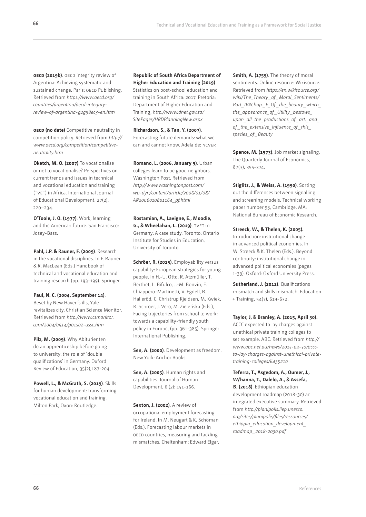**oecd (2019b)**. OECD integrity review of Argentina: Achieving systematic and sustained change. Paris: OECD Publishing. Retrieved from *https://www.oecd.org/ countries/argentina/oecd-integrityreview-of-argentina-g2g98ec3-en.htm*

**oecd** (no date) Competitive neutrality in competition policy. Retrieved from *http:// www.oecd.org/competition/competitiveneutrality.htm*

**Oketch, M. O. (2007)** To vocationalise or not to vocationalise? Perspectives on current trends and issues in technical and vocational education and training (tvet) in Africa. International Journal of Educational Development, 27(2), 220–234.

**O'Toole, J. O. (1977)**. Work, learning and the American future. San Francisco: Josey-Bass.

**Pahl, J.P. & Rauner, F. (2009)**. Research in the vocational disciplines. In F. Rauner & R. MacLean (Eds.) Handbook of technical and vocational education and training research (pp. 193-199). Springer.

**Paul, N. C. (2004, September 14)**. Beset by New Haven's ills, Yale revitalizes city. Christian Science Monitor. Retrieved from *http://www.csmonitor. com/2004/0914/p01s02-ussc.htm*

**Pilz, M. (2009)**. Why Abiturienten do an apprenticeship before going to university: the role of 'double qualifications' in Germany. Oxford Review of Education, 35(2),187-204.

**Powell, L., & McGrath, S. (2019)**. Skills for human development: transforming vocational education and training. Milton Park, Oxon: Routledge.

**Republic of South Africa Department of Higher Education and Training (2019)** Statistics on post-school education and training in South Africa: 2017. Pretoria: Department of Higher Education and Training, *http://www.dhet.gov.za/ SitePages/HRDPlanningNew.aspx*

**Richardson, S., & Tan, Y. (2007)**. Forecasting future demands: what we can and cannot know. Adelaide: ncver

**Romano, L. (2006, January 9)**. Urban colleges learn to be good neighbors. Washington Post. Retrieved from *http://www.washingtonpost.com/ wp-dyn/content/article/2006/01/08/ AR2006010801164\_pf.html*

**Rostamian, A., Lavigne, E., Moodie, G., & Wheelahan, L. (2019)**. TVET in Germany: A case study. Toronto: Ontario Institute for Studies in Education, University of Toronto.

**Schröer, R. (2015)**. Employability versus capability: European strategies for young people. In H.-U. Otto, R. Atzmüller, T. Berthet, L. Bifulco, J.-M. Bonvin, E. Chiappero-Martinetti, V. Egdell, B. Halleröd, C. Christrup Kjeldsen, M. Kwiek, R. Schröer, J. Vero, M. Zieleńska (Eds.), Facing trajectories from school to work: towards a capability-friendly youth policy in Europe, (pp. 361-385). Springer International Publishing.

**Sen, A. (2000)**. Development as freedom. New York: Anchor Books.

**Sen, A. (2005)**. Human rights and capabilities. Journal of Human Development, 6 (2): 151-166.

**Sexton, J. (2002)**. A review of occupational employment forecasting for Ireland. In M. Neugart & K. Schöman (Eds.), Forecasting labour markets in oecp countries, measuring and tackling mismatches. Cheltenham: Edward Elgar. **Smith, A. (1759)**. The theory of moral sentiments. Online resource: Wikisource. Retrieved from *https://en.wikisource.org/ wiki/The\_Theory \_of \_Moral\_Sentiments/ Part\_IV#Chap.\_I:\_Of \_the\_beauty \_which\_ the\_appearance\_of \_Utility \_bestows\_ upon\_all\_the\_productions\_of \_art,\_and\_ of \_the\_extensive\_influence\_of \_this\_ species\_of \_Beauty*

**Spence, M. (1973)**. Job market signaling. The Quarterly Journal of Economics, 87(3), 355-374.

**Stiglitz, J., & Weiss, A. (1990)**. Sorting out the differences between signalling and screening models. Technical working paper number 93, Cambridge, MA: National Bureau of Economic Research.

**Streeck, W., & Thelen, K. (2005).** Introduction: institutional change in advanced political economies. In W. Streeck & K. Thelen (Eds.), Beyond continuity: institutional change in advanced political economies (pages 1-39). Oxford: Oxford University Press.

**Sutherland, J. (2012)**. Qualifications mismatch and skills mismatch. Education + Training, 54(7), 619-632.

**Taylor, J, & Branley, A. (2015, April 30).**

ACCC expected to lay charges against unethical private training colleges to set example. ABC. Retrieved from *http:// www.abc.net.au/news/2015-04-30/acccto-lay-charges-against-unethical-privatetraining-colleges/6435210*

**Teferra, T., Asgedom, A., Oumer, J., W/hanna, T., Dalelo, A., & Assefa, B. (2018)**. Ethiopian education development roadmap (2018-30) an integrated executive summary. Retrieved from *http://planipolis.iiep.unesco. org/sites/planipolis/files/ressources/ ethiopia\_education\_development\_ roadmap\_2018-2030.pdf*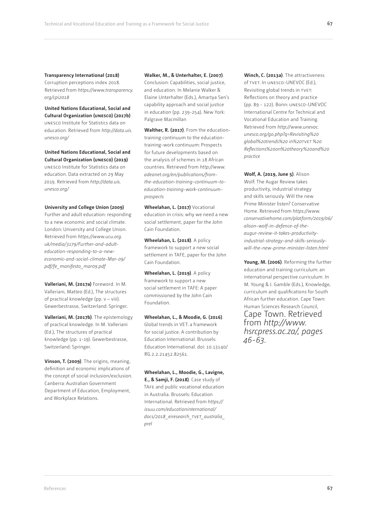#### **Transparency International (2018)**

Corruption perceptions index 2018. Retrieved from *https://www.transparency. org/cpi2018*

**United Nations Educational, Social and Cultural Organization (unesco) (2017b)**  unesco Institute for Statistics data on education. Retrieved from *http://data.uis. unesco.org/*

**United Nations Educational, Social and Cultural Organization (unesco) (2019)**  unesco Institute for Statistics data on education. Data extracted on 29 May 2019. Retrieved from *http://data.uis. unesco.org/*

#### **University and College Union (2009)**

Further and adult education: responding to a new economic and social climate. London: University and College Union. Retrieved from *https://www.ucu.org. uk/media/3179/Further-and-adulteducation-responding-to-a-neweconomic-and-social-climate-Mar-09/ pdf/fe\_manifesto\_mar09.pdf*

**Valleriani, M. (2017a)** Foreword. In M. Valleriani, Matteo (Ed.), The structures of practical knowledge (pp. v – viii). Gewerbestrasse, Switzerland: Springer.

**Valleriani, M. (2017b)**. The epistemology of practical knowledge. In M. Valleriani (Ed.), The structures of practical knowledge (pp. 1-19). Gewerbestrasse, Switzerland: Springer.

**Vinson, T. (2009)**. The origins, meaning, definition and economic implications of the concept of social inclusion/exclusion. Canberra: Australian Government Department of Education, Employment, and Workplace Relations.

#### **Walker, M., & Unterhalter, E. (2007)**.

Conclusion: Capabilities, social justice, and education. In Melanie Walker & Elaine Unterhalter (Eds.), Amartya Sen's capability approach and social justice in education (pp. 239-254). New York: Palgrave Macmillan

**Walther, R. (2017)**. From the educationtraining continuum to the educationtraining-work continuum: Prospects for future developments based on the analysis of schemes in 18 African countries. Retrieved from *http://www. adeanet.org/en/publications/fromthe-education-training-continuum-toeducation-training-work-continuumprospects*

**Wheelahan, L. (2017)** Vocational education in crisis: why we need a new social settlement, paper for the John Cain Foundation.

**Wheelahan, L. (2018)**. A policy framework to support a new social settlement in TAFE, paper for the John Cain Foundation.

**Wheelahan, L. (2019)**. A policy framework to support a new social settlement in TAFE: A paper commissioned by the John Cain Foundation.

**Wheelahan, L., & Moodie, G. (2016)**. Global trends in VET: a framework for social justice. A contribution by Education International. Brussels: Education International. doi: 10.13140/ RG.2.2.21452.82561.

**Wheelahan, L., Moodie, G., Lavigne, E., & Samji, F. (2018)**. Case study of TAfe and public vocational education in Australia. Brussels: Education International. Retrieved from *https:// issuu.com/educationinternational/ docs/2018\_eiresearch\_tvet\_australia\_ prel*

**Winch, C. (2013a)**. The attractiveness of tvet. In unesco-UNEVOC (Ed.), Revisiting global trends in tvet: Reflections on theory and practice (pp. 89 - 122). Bonn: unesco-UNEVOC International Centre for Technical and Vocational Education and Training. Retrieved from *http://www.unevoc. unesco.org/go.php?q=Revisiting%20 global%20trends%20 in%20tvet %20 Reflections%20on%20theory%20and%20 practice* 

**Wolf, A. (2019, June 5)**. Alison Wolf: The Augar Review takes productivity, industrial strategy and skills seriously. Will the new Prime Minister listen? Conservative Home. Retrieved from *https://www. conservativehome.com/platform/2019/06/ alison-wolf-in-defence-of-theaugur-review-it-takes-productivityindustrial-strategy-and-skills-seriouslywill-the-new-prime-minister-listen.html*

**Young, M. (2006)**. Reforming the further education and training curriculum: an international perspective curriculum. In M. Young & J. Gamble (Eds.), Knowledge, curriculum and qualifications for South African further education. Cape Town: Human Sciences Research Council, Cape Town. Retrieved from *http://www. hsrcpress.ac.za/, pages 46-63.*